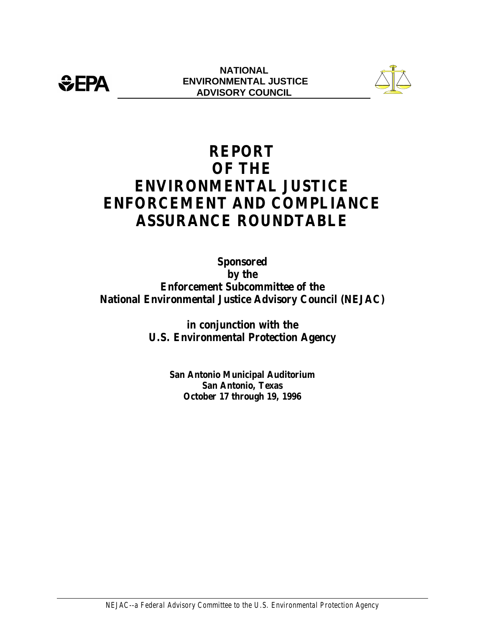



# **REPORT OF THE ENVIRONMENTAL JUSTICE ENFORCEMENT AND COMPLIANCE ASSURANCE ROUNDTABLE**

**Sponsored by the Enforcement Subcommittee of the National Environmental Justice Advisory Council (NEJAC)**

> **in conjunction with the U.S. Environmental Protection Agency**

> > **San Antonio Municipal Auditorium San Antonio, Texas October 17 through 19, 1996**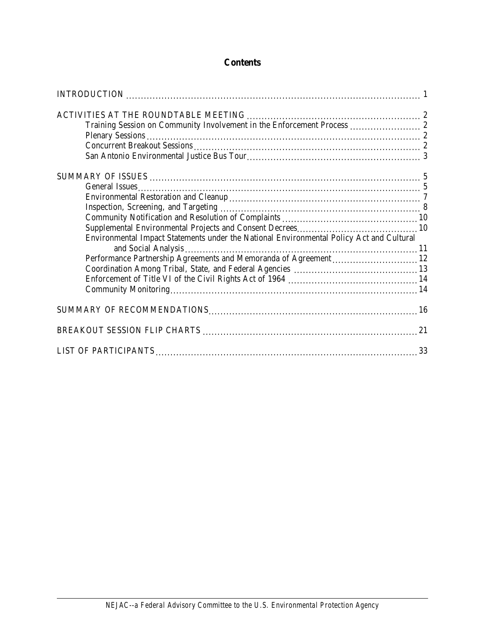# **Contents**

| Environmental Impact Statements under the National Environmental Policy Act and Cultural |  |
|------------------------------------------------------------------------------------------|--|
|                                                                                          |  |
| Performance Partnership Agreements and Memoranda of Agreement 12                         |  |
|                                                                                          |  |
|                                                                                          |  |
|                                                                                          |  |
|                                                                                          |  |
|                                                                                          |  |
|                                                                                          |  |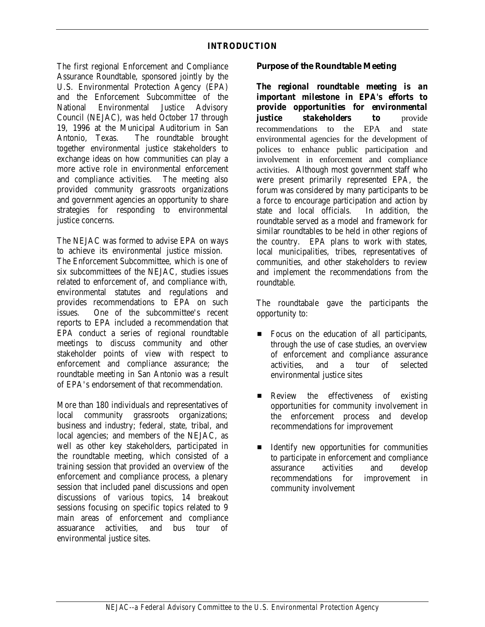# **INTRODUCTION**

The first regional Enforcement and Compliance Assurance Roundtable, sponsored jointly by the U.S. Environmental Protection Agency (EPA) and the Enforcement Subcommittee of the National Environmental Justice Advisory Council (NEJAC), was held October 17 through 19, 1996 at the Municipal Auditorium in San Antonio, Texas. The roundtable brought together environmental justice stakeholders to exchange ideas on how communities can play a more active role in environmental enforcement and compliance activities. The meeting also provided community grassroots organizations and government agencies an opportunity to share strategies for responding to environmental justice concerns.

The NEJAC was formed to advise EPA on ways to achieve its environmental justice mission. The Enforcement Subcommittee, which is one of six subcommittees of the NEJAC, studies issues related to enforcement of, and compliance with, environmental statutes and regulations and provides recommendations to EPA on such issues. One of the subcommittee's recent reports to EPA included a recommendation that EPA conduct a series of regional roundtable meetings to discuss community and other stakeholder points of view with respect to enforcement and compliance assurance; the roundtable meeting in San Antonio was a result of EPA's endorsement of that recommendation.

More than 180 individuals and representatives of local community grassroots organizations; business and industry; federal, state, tribal, and local agencies; and members of the NEJAC, as well as other key stakeholders, participated in the roundtable meeting, which consisted of a training session that provided an overview of the enforcement and compliance process, a plenary session that included panel discussions and open discussions of various topics, 14 breakout sessions focusing on specific topics related to 9 main areas of enforcement and compliance assuarance activities, and bus tour of environmental justice sites.

# **Purpose of the Roundtable Meeting**

*The regional roundtable meeting is an important milestone in EPA's efforts to provide opportunities for environmental justice stakeholders to* **provide** recommendations to the EPA and state environmental agencies for the development of polices to enhance public participation and involvement in enforcement and compliance activities. Although most government staff who were present primarily represented EPA, the forum was considered by many participants to be a force to encourage participation and action by<br>state and local officials. In addition, the state and local officials. roundtable served as a model and framework for similar roundtables to be held in other regions of the country. EPA plans to work with states, local municipalities, tribes, representatives of communities, and other stakeholders to review and implement the recommendations from the roundtable.

The roundtabale gave the participants the opportunity to:

- **Exercise 5 Focus** on the education of all participants, through the use of case studies, an overview of enforcement and compliance assurance activities, and a tour environmental justice sites of selected
- **EXECUTE:** Review the effectiveness of existing opportunities for community involvement in the enforcement process and develop recommendations for improvement
- $\blacksquare$  Identify new opportunities for communities to participate in enforcement and compliance assurance activities and develop recommendations for improvement in community involvement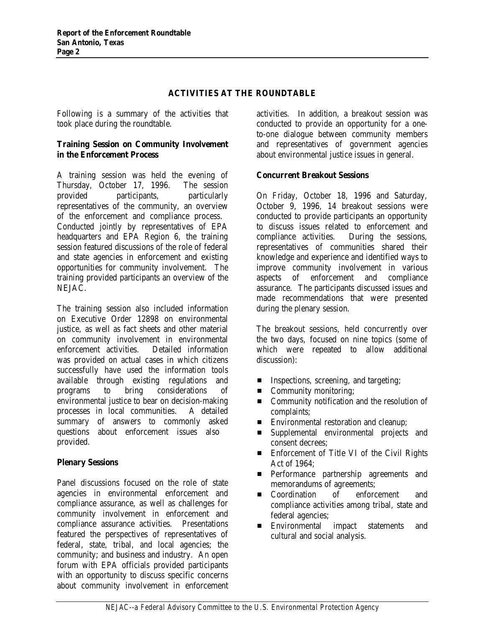# **ACTIVITIES AT THE ROUNDTABLE**

Following is a summary of the activities that took place during the roundtable.

# **Training Session on Community Involvement in the Enforcement Process**

A training session was held the evening of Thursday, October 17, 1996. The session provided participants, particularly representatives of the community, an overview of the enforcement and compliance process. Conducted jointly by representatives of EPA headquarters and EPA Region 6, the training session featured discussions of the role of federal and state agencies in enforcement and existing opportunities for community involvement. The training provided participants an overview of the NEJAC.

The training session also included information on Executive Order 12898 on environmental justice, as well as fact sheets and other material on community involvement in environmental enforcement activities. Detailed information was provided on actual cases in which citizens successfully have used the information tools available through existing regulations and programs to bring considerations of environmental justice to bear on decision-making processes in local communities. A detailed summary of answers to commonly asked questions about enforcement issues also provided.

# **Plenary Sessions**

Panel discussions focused on the role of state agencies in environmental enforcement and compliance assurance, as well as challenges for community involvement in enforcement and compliance assurance activities. Presentations featured the perspectives of representatives of federal, state, tribal, and local agencies; the community; and business and industry. An open forum with EPA officials provided participants with an opportunity to discuss specific concerns about community involvement in enforcement

activities. In addition, a breakout session was conducted to provide an opportunity for a oneto-one dialogue between community members and representatives of government agencies about environmental justice issues in general.

# **Concurrent Breakout Sessions**

On Friday, October 18, 1996 and Saturday, October 9, 1996, 14 breakout sessions were conducted to provide participants an opportunity to discuss issues related to enforcement and compliance activities. During the sessions, representatives of communities shared their knowledge and experience and identified ways to improve community involvement in various aspects of enforcement and compliance assurance. The participants discussed issues and made recommendations that were presented during the plenary session.

The breakout sessions, held concurrently over the two days, focused on nine topics (some of which were repeated to allow additional discussion):

- $\blacksquare$  Inspections, screening, and targeting;
- Community monitoring;
- Community notification and the resolution of complaints;
- **Environmental restoration and cleanup;**
- **Examplemental environmental projects and** consent decrees;
- Enforcement of Title VI of the Civil Rights Act of 1964;
- **EXECUTE:** Performance partnership agreements and memorandums of agreements;
- **Exercicle Coordination** of enforcement and compliance activities among tribal, state and federal agencies;
- **Environmental impact statements and** cultural and social analysis.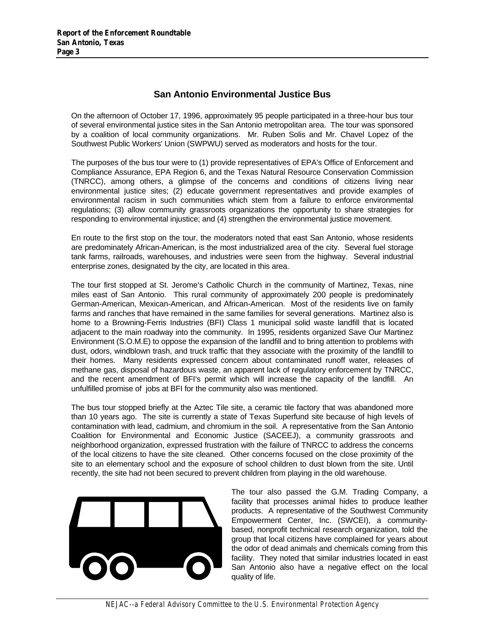# **San Antonio Environmental Justice Bus**

On the afternoon of October 17, 1996, approximately 95 people participated in a three-hour bus tour of several environmental justice sites in the San Antonio metropolitan area. The tour was sponsored by a coalition of local community organizations. Mr. Ruben Solis and Mr. Chavel Lopez of the Southwest Public Workers' Union (SWPWU) served as moderators and hosts for the tour.

The purposes of the bus tour were to (1) provide representatives of EPA's Office of Enforcement and Compliance Assurance, EPA Region 6, and the Texas Natural Resource Conservation Commission (TNRCC), among others, a glimpse of the concerns and conditions of citizens living near environmental justice sites; (2) educate government representatives and provide examples of environmental racism in such communities which stem from a failure to enforce environmental regulations; (3) allow community grassroots organizations the opportunity to share strategies for responding to environmental injustice; and (4) strengthen the environmental justice movement.

En route to the first stop on the tour, the moderators noted that east San Antonio, whose residents are predominately African-American, is the most industrialized area of the city. Several fuel storage tank farms, railroads, warehouses, and industries were seen from the highway. Several industrial enterprise zones, designated by the city, are located in this area.

The tour first stopped at St. Jerome's Catholic Church in the community of Martinez, Texas, nine miles east of San Antonio. This rural community of approximately 200 people is predominately German-American, Mexican-American, and African-American. Most of the residents live on family farms and ranches that have remained in the same families for several generations. Martinez also is home to a Browning-Ferris Industries (BFI) Class 1 municipal solid waste landfill that is located adjacent to the main roadway into the community. In 1995, residents organized Save Our Martinez Environment (S.O.M.E) to oppose the expansion of the landfill and to bring attention to problems with dust, odors, windblown trash, and truck traffic that they associate with the proximity of the landfill to their homes. Many residents expressed concern about contaminated runoff water, releases of methane gas, disposal of hazardous waste, an apparent lack of regulatory enforcement by TNRCC, and the recent amendment of BFI's permit which will increase the capacity of the landfill. An unfulfilled promise of jobs at BFI for the community also was mentioned.

The bus tour stopped briefly at the Aztec Tile site, a ceramic tile factory that was abandoned more than 10 years ago. The site is currently a state of Texas Superfund site because of high levels of contamination with lead, cadmium, and chromium in the soil. A representative from the San Antonio Coalition for Environmental and Economic Justice (SACEEJ), a community grassroots and neighborhood organization, expressed frustration with the failure of TNRCC to address the concerns of the local citizens to have the site cleaned. Other concerns focused on the close proximity of the site to an elementary school and the exposure of school children to dust blown from the site. Until recently, the site had not been secured to prevent children from playing in the old warehouse.



The tour also passed the G.M. Trading Company, a facility that processes animal hides to produce leather products. A representative of the Southwest Community Empowerment Center, Inc. (SWCEI), a communitybased, nonprofit technical research organization, told the group that local citizens have complained for years about the odor of dead animals and chemicals coming from this facility. They noted that similar industries located in east San Antonio also have a negative effect on the local quality of life.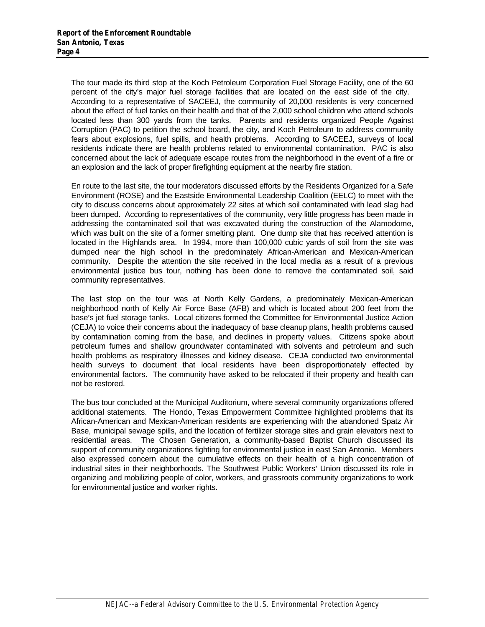The tour made its third stop at the Koch Petroleum Corporation Fuel Storage Facility, one of the 60 percent of the city's major fuel storage facilities that are located on the east side of the city. According to a representative of SACEEJ, the community of 20,000 residents is very concerned about the effect of fuel tanks on their health and that of the 2,000 school children who attend schools located less than 300 yards from the tanks. Parents and residents organized People Against Corruption (PAC) to petition the school board, the city, and Koch Petroleum to address community fears about explosions, fuel spills, and health problems. According to SACEEJ, surveys of local residents indicate there are health problems related to environmental contamination. PAC is also concerned about the lack of adequate escape routes from the neighborhood in the event of a fire or an explosion and the lack of proper firefighting equipment at the nearby fire station.

En route to the last site, the tour moderators discussed efforts by the Residents Organized for a Safe Environment (ROSE) and the Eastside Environmental Leadership Coalition (EELC) to meet with the city to discuss concerns about approximately 22 sites at which soil contaminated with lead slag had been dumped. According to representatives of the community, very little progress has been made in addressing the contaminated soil that was excavated during the construction of the Alamodome, which was built on the site of a former smelting plant. One dump site that has received attention is located in the Highlands area. In 1994, more than 100,000 cubic yards of soil from the site was dumped near the high school in the predominately African-American and Mexican-American community. Despite the attention the site received in the local media as a result of a previous environmental justice bus tour, nothing has been done to remove the contaminated soil, said community representatives.

The last stop on the tour was at North Kelly Gardens, a predominately Mexican-American neighborhood north of Kelly Air Force Base (AFB) and which is located about 200 feet from the base's jet fuel storage tanks. Local citizens formed the Committee for Environmental Justice Action (CEJA) to voice their concerns about the inadequacy of base cleanup plans, health problems caused by contamination coming from the base, and declines in property values. Citizens spoke about petroleum fumes and shallow groundwater contaminated with solvents and petroleum and such health problems as respiratory illnesses and kidney disease. CEJA conducted two environmental health surveys to document that local residents have been disproportionately effected by environmental factors. The community have asked to be relocated if their property and health can not be restored.

The bus tour concluded at the Municipal Auditorium, where several community organizations offered additional statements. The Hondo, Texas Empowerment Committee highlighted problems that its African-American and Mexican-American residents are experiencing with the abandoned Spatz Air Base, municipal sewage spills, and the location of fertilizer storage sites and grain elevators next to residential areas. The Chosen Generation, a community-based Baptist Church discussed its support of community organizations fighting for environmental justice in east San Antonio. Members also expressed concern about the cumulative effects on their health of a high concentration of industrial sites in their neighborhoods. The Southwest Public Workers' Union discussed its role in organizing and mobilizing people of color, workers, and grassroots community organizations to work for environmental justice and worker rights.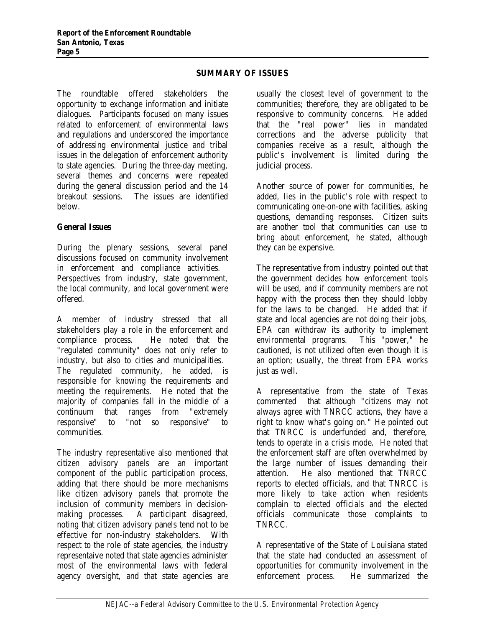# **SUMMARY OF ISSUES**

The roundtable offered stakeholders the opportunity to exchange information and initiate dialogues. Participants focused on many issues related to enforcement of environmental laws and regulations and underscored the importance of addressing environmental justice and tribal issues in the delegation of enforcement authority to state agencies. During the three-day meeting, several themes and concerns were repeated during the general discussion period and the 14 breakout sessions. The issues are identified below.

# **General Issues**

During the plenary sessions, several panel discussions focused on community involvement in enforcement and compliance activities. Perspectives from industry, state government, the local community, and local government were offered.

A member of industry stressed that all stakeholders play a role in the enforcement and compliance process. He noted that the "regulated community" does not only refer to industry, but also to cities and municipalities. The regulated community, he added, is responsible for knowing the requirements and meeting the requirements. He noted that the majority of companies fall in the middle of a continuum that ranges from "extremely responsive" to "not so responsive" to communities.

The industry representative also mentioned that citizen advisory panels are an important component of the public participation process, adding that there should be more mechanisms like citizen advisory panels that promote the inclusion of community members in decisionmaking processes. A participant disagreed, noting that citizen advisory panels tend not to be effective for non-industry stakeholders. With respect to the role of state agencies, the industry representaive noted that state agencies administer most of the environmental laws with federal agency oversight, and that state agencies are

usually the closest level of government to the communities; therefore, they are obligated to be responsive to community concerns. He added that the "real power" lies in mandated corrections and the adverse publicity that companies receive as a result, although the public's involvement is limited during the judicial process.

Another source of power for communities, he added, lies in the public's role with respect to communicating one-on-one with facilities, asking questions, demanding responses. Citizen suits are another tool that communities can use to bring about enforcement, he stated, although they can be expensive.

The representative from industry pointed out that the government decides how enforcement tools will be used, and if community members are not happy with the process then they should lobby for the laws to be changed. He added that if state and local agencies are not doing their jobs, EPA can withdraw its authority to implement<br>environmental programs. This "power," he environmental programs. cautioned, is not utilized often even though it is an option; usually, the threat from EPA works just as well.

A representative from the state of Texas commented that although "citizens may not always agree with TNRCC actions, they have a right to know what's going on." He pointed out that TNRCC is underfunded and, therefore, tends to operate in a crisis mode. He noted that the enforcement staff are often overwhelmed by the large number of issues demanding their attention. He also mentioned that TNRCC reports to elected officials, and that TNRCC is more likely to take action when residents complain to elected officials and the elected officials communicate those complaints to TNRCC.

A representative of the State of Louisiana stated that the state had conducted an assessment of opportunities for community involvement in the enforcement process. He summarized the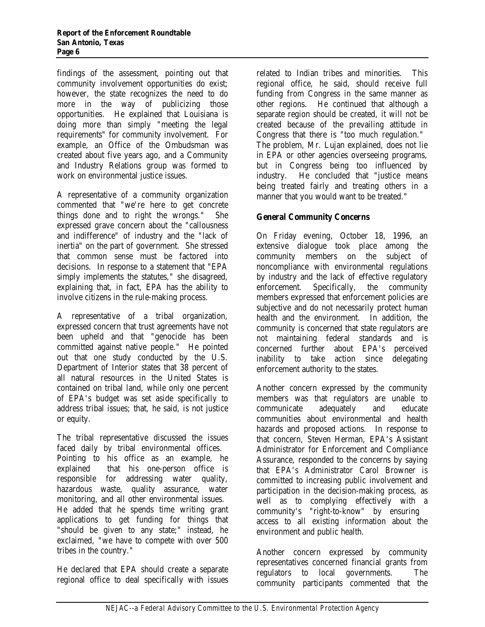findings of the assessment, pointing out that community involvement opportunities do exist; however, the state recognizes the need to do more in the way of publicizing those opportunities. He explained that Louisiana is doing more than simply "meeting the legal requirements" for community involvement. For example, an Office of the Ombudsman was created about five years ago, and a Community and Industry Relations group was formed to work on environmental justice issues.

A representative of a community organization commented that "we're here to get concrete things done and to right the wrongs." She expressed grave concern about the "callousness and indifference" of industry and the "lack of inertia" on the part of government. She stressed that common sense must be factored into decisions. In response to a statement that "EPA simply implements the statutes," she disagreed, explaining that, in fact, EPA has the ability to involve citizens in the rule-making process.

A representative of a tribal organization, expressed concern that trust agreements have not been upheld and that "genocide has been committed against native people." He pointed out that one study conducted by the U.S. Department of Interior states that 38 percent of all natural resources in the United States is contained on tribal land, while only one percent of EPA's budget was set aside specifically to address tribal issues; that, he said, is not justice or equity.

The tribal representative discussed the issues faced daily by tribal environmental offices. Pointing to his office as an example, he explained that his one-person office is responsible for addressing water quality, hazardous waste, quality assurance, water monitoring, and all other environmental issues. He added that he spends time writing grant applications to get funding for things that "should be given to any state;" instead, he exclaimed, "we have to compete with over 500 tribes in the country."

He declared that EPA should create a separate regional office to deal specifically with issues

related to Indian tribes and minorities. This regional office, he said, should receive full funding from Congress in the same manner as other regions. He continued that although a separate region should be created, it will not be created because of the prevailing attitude in Congress that there is "too much regulation." The problem, Mr. Lujan explained, does not lie in EPA or other agencies overseeing programs, but in Congress being too influenced by industry. He concluded that "justice means being treated fairly and treating others in a manner that you would want to be treated."

# **General Community Concerns**

On Friday evening, October 18, 1996, an extensive dialogue took place among the community members on the subject of noncompliance with environmental regulations by industry and the lack of effective regulatory enforcement. Specifically, the community members expressed that enforcement policies are subjective and do not necessarily protect human health and the environment. In addition, the community is concerned that state regulators are not maintaining federal standards and is concerned further about EPA's perceived inability to take action since delegating enforcement authority to the states.

Another concern expressed by the community members was that regulators are unable to communicate adequately and educate communities about environmental and health hazards and proposed actions. In response to that concern, Steven Herman, EPA's Assistant Administrator for Enforcement and Compliance Assurance, responded to the concerns by saying that EPA's Administrator Carol Browner is committed to increasing public involvement and participation in the decision-making process, as well as to complying effectively with a community's "right-to-know" by ensuring access to all existing information about the environment and public health.

Another concern expressed by community representatives concerned financial grants from regulators to local governments. The community participants commented that the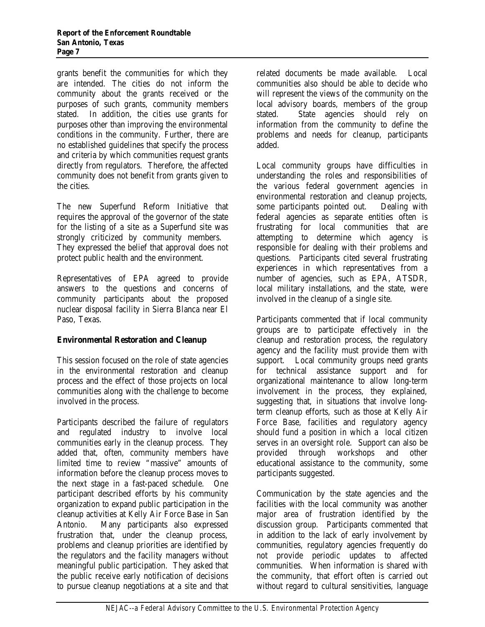grants benefit the communities for which they are intended. The cities do not inform the community about the grants received or the purposes of such grants, community members stated. In addition, the cities use grants for purposes other than improving the environmental conditions in the community. Further, there are no established guidelines that specify the process and criteria by which communities request grants directly from regulators. Therefore, the affected community does not benefit from grants given to the cities.

The new Superfund Reform Initiative that requires the approval of the governor of the state for the listing of a site as a Superfund site was strongly criticized by community members. They expressed the belief that approval does not protect public health and the environment.

Representatives of EPA agreed to provide answers to the questions and concerns of community participants about the proposed nuclear disposal facility in Sierra Blanca near El Paso, Texas.

# **Environmental Restoration and Cleanup**

This session focused on the role of state agencies in the environmental restoration and cleanup process and the effect of those projects on local communities along with the challenge to become involved in the process.

Participants described the failure of regulators and regulated industry to involve local communities early in the cleanup process. They added that, often, community members have limited time to review "massive" amounts of information before the cleanup process moves to the next stage in a fast-paced schedule. One participant described efforts by his community organization to expand public participation in the cleanup activities at Kelly Air Force Base in San Antonio. Many participants also expressed frustration that, under the cleanup process, problems and cleanup priorities are identified by the regulators and the facility managers without meaningful public participation. They asked that the public receive early notification of decisions to pursue cleanup negotiations at a site and that

related documents be made available. Local communities also should be able to decide who will represent the views of the community on the local advisory boards, members of the group stated. State agencies should rely on information from the community to define the problems and needs for cleanup, participants added.

Local community groups have difficulties in understanding the roles and responsibilities of the various federal government agencies in environmental restoration and cleanup projects, some participants pointed out. Dealing with federal agencies as separate entities often is frustrating for local communities that are attempting to determine which agency is responsible for dealing with their problems and questions. Participants cited several frustrating experiences in which representatives from a number of agencies, such as EPA, ATSDR, local military installations, and the state, were involved in the cleanup of a single site.

Participants commented that if local community groups are to participate effectively in the cleanup and restoration process, the regulatory agency and the facility must provide them with support. Local community groups need grants for technical assistance support and for organizational maintenance to allow long-term involvement in the process, they explained, suggesting that, in situations that involve longterm cleanup efforts, such as those at Kelly Air Force Base, facilities and regulatory agency should fund a position in which a local citizen serves in an oversight role. Support can also be provided through workshops and other educational assistance to the community, some participants suggested.

Communication by the state agencies and the facilities with the local community was another major area of frustration identified by the discussion group. Participants commented that in addition to the lack of early involvement by communities, regulatory agencies frequently do not provide periodic updates to affected communities. When information is shared with the community, that effort often is carried out without regard to cultural sensitivities, language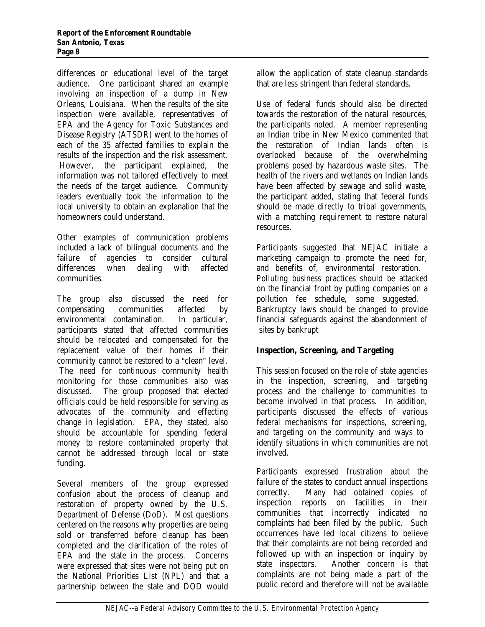differences or educational level of the target audience. One participant shared an example involving an inspection of a dump in New Orleans, Louisiana. When the results of the site inspection were available, representatives of EPA and the Agency for Toxic Substances and Disease Registry (ATSDR) went to the homes of each of the 35 affected families to explain the results of the inspection and the risk assessment. However, the participant explained, the information was not tailored effectively to meet the needs of the target audience. Community leaders eventually took the information to the local university to obtain an explanation that the homeowners could understand.

Other examples of communication problems included a lack of bilingual documents and the failure of agencies to consider cultural differences when dealing with affected communities.

The group also discussed the need for compensating communities affected by environmental contamination. In particular, participants stated that affected communities should be relocated and compensated for the replacement value of their homes if their community cannot be restored to a "clean" level. The need for continuous community health monitoring for those communities also was discussed. The group proposed that elected officials could be held responsible for serving as advocates of the community and effecting change in legislation. EPA, they stated, also should be accountable for spending federal money to restore contaminated property that cannot be addressed through local or state funding.

Several members of the group expressed confusion about the process of cleanup and restoration of property owned by the U.S. Department of Defense (DoD). Most questions centered on the reasons why properties are being sold or transferred before cleanup has been completed and the clarification of the roles of EPA and the state in the process. Concerns were expressed that sites were not being put on the National Priorities List (NPL) and that a partnership between the state and DOD would allow the application of state cleanup standards that are less stringent than federal standards.

Use of federal funds should also be directed towards the restoration of the natural resources, the participants noted. A member representing an Indian tribe in New Mexico commented that the restoration of Indian lands often is overlooked because of the overwhelming problems posed by hazardous waste sites. The health of the rivers and wetlands on Indian lands have been affected by sewage and solid waste, the participant added, stating that federal funds should be made directly to tribal governments, with a matching requirement to restore natural resources.

Participants suggested that NEJAC initiate a marketing campaign to promote the need for, and benefits of, environmental restoration. Polluting business practices should be attacked on the financial front by putting companies on a pollution fee schedule, some suggested. Bankruptcy laws should be changed to provide financial safeguards against the abandonment of sites by bankrupt

# **Inspection, Screening, and Targeting**

This session focused on the role of state agencies in the inspection, screening, and targeting process and the challenge to communities to become involved in that process. In addition, participants discussed the effects of various federal mechanisms for inspections, screening, and targeting on the community and ways to identify situations in which communities are not involved.

Participants expressed frustration about the failure of the states to conduct annual inspections correctly. Many had obtained copies of inspection reports on facilities in their communities that incorrectly indicated no complaints had been filed by the public. Such occurrences have led local citizens to believe that their complaints are not being recorded and followed up with an inspection or inquiry by state inspectors. Another concern is that complaints are not being made a part of the public record and therefore will not be available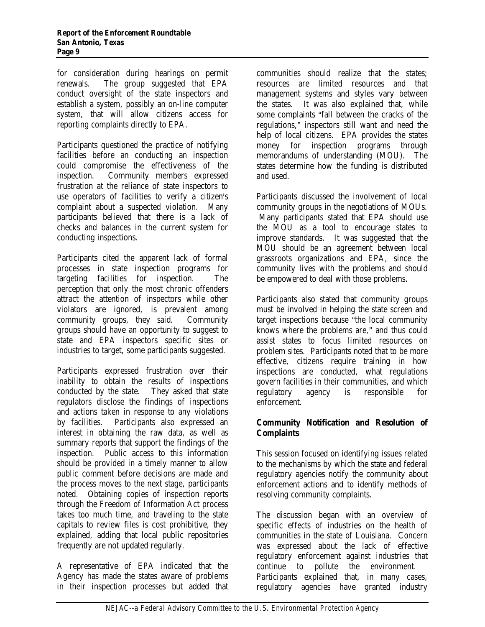for consideration during hearings on permit renewals. The group suggested that EPA conduct oversight of the state inspectors and establish a system, possibly an on-line computer system, that will allow citizens access for reporting complaints directly to EPA.

Participants questioned the practice of notifying facilities before an conducting an inspection could compromise the effectiveness of the inspection. Community members expressed frustration at the reliance of state inspectors to use operators of facilities to verify a citizen's complaint about a suspected violation. Many participants believed that there is a lack of checks and balances in the current system for conducting inspections.

Participants cited the apparent lack of formal processes in state inspection programs for targeting facilities for inspection. The perception that only the most chronic offenders attract the attention of inspectors while other violators are ignored, is prevalent among community groups, they said. Community groups should have an opportunity to suggest to state and EPA inspectors specific sites or industries to target, some participants suggested.

Participants expressed frustration over their inability to obtain the results of inspections conducted by the state. They asked that state regulators disclose the findings of inspections and actions taken in response to any violations by facilities. Participants also expressed an interest in obtaining the raw data, as well as summary reports that support the findings of the inspection. Public access to this information should be provided in a timely manner to allow public comment before decisions are made and the process moves to the next stage, participants noted. Obtaining copies of inspection reports through the Freedom of Information Act process takes too much time, and traveling to the state capitals to review files is cost prohibitive, they explained, adding that local public repositories frequently are not updated regularly.

A representative of EPA indicated that the Agency has made the states aware of problems in their inspection processes but added that communities should realize that the states; resources are limited resources and that management systems and styles vary between the states. It was also explained that, while some complaints "fall between the cracks of the regulations," inspectors still want and need the help of local citizens. EPA provides the states money for inspection programs through memorandums of understanding (MOU). The states determine how the funding is distributed and used.

Participants discussed the involvement of local community groups in the negotiations of MOUs. Many participants stated that EPA should use the MOU as a tool to encourage states to improve standards. It was suggested that the MOU should be an agreement between local grassroots organizations and EPA, since the community lives with the problems and should be empowered to deal with those problems.

Participants also stated that community groups must be involved in helping the state screen and target inspections because "the local community knows where the problems are," and thus could assist states to focus limited resources on problem sites. Participants noted that to be more effective, citizens require training in how inspections are conducted, what regulations govern facilities in their communities, and which regulatory agency is responsible for enforcement.

# **Community Notification and Resolution of Complaints**

This session focused on identifying issues related to the mechanisms by which the state and federal regulatory agencies notify the community about enforcement actions and to identify methods of resolving community complaints.

The discussion began with an overview of specific effects of industries on the health of communities in the state of Louisiana. Concern was expressed about the lack of effective regulatory enforcement against industries that continue to pollute the environment. Participants explained that, in many cases, regulatory agencies have granted industry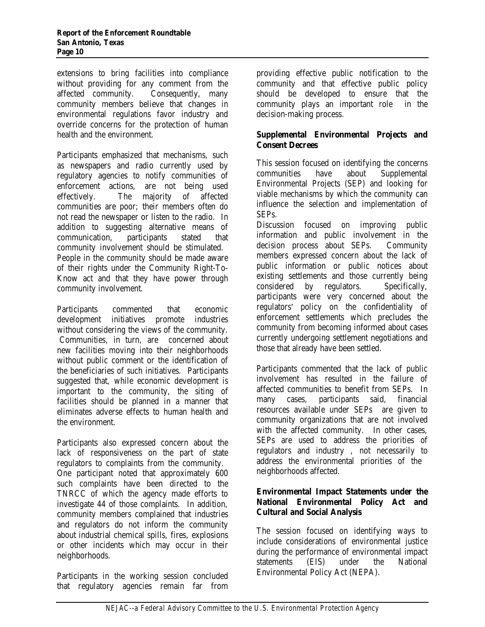extensions to bring facilities into compliance without providing for any comment from the affected community. Consequently, many community members believe that changes in environmental regulations favor industry and override concerns for the protection of human health and the environment.

Participants emphasized that mechanisms, such as newspapers and radio currently used by regulatory agencies to notify communities of enforcement actions, are not being used effectively. The majority of affected communities are poor; their members often do not read the newspaper or listen to the radio. In addition to suggesting alternative means of communication, participants stated that community involvement should be stimulated. People in the community should be made aware of their rights under the Community Right-To-Know act and that they have power through community involvement.

Participants commented that economic development initiatives promote industries without considering the views of the community. Communities, in turn, are concerned about new facilities moving into their neighborhoods without public comment or the identification of the beneficiaries of such initiatives. Participants suggested that, while economic development is important to the community, the siting of facilities should be planned in a manner that eliminates adverse effects to human health and the environment.

Participants also expressed concern about the lack of responsiveness on the part of state regulators to complaints from the community. One participant noted that approximately 600 such complaints have been directed to the TNRCC of which the agency made efforts to investigate 44 of those complaints. In addition, community members complained that industries and regulators do not inform the community about industrial chemical spills, fires, explosions or other incidents which may occur in their neighborhoods.

Participants in the working session concluded that regulatory agencies remain far from providing effective public notification to the community and that effective public policy should be developed to ensure that the community plays an important role in the decision-making process.

# **Supplemental Environmental Projects and Consent Decrees**

This session focused on identifying the concerns communities have about Supplemental Environmental Projects (SEP) and looking for viable mechanisms by which the community can influence the selection and implementation of SEPs.

Discussion focused on improving public information and public involvement in the decision process about SEPs. Community members expressed concern about the lack of public information or public notices about existing settlements and those currently being considered by regulators. Specifically, participants were very concerned about the regulators' policy on the confidentiality of enforcement settlements which precludes the community from becoming informed about cases currently undergoing settlement negotiations and those that already have been settled.

Participants commented that the lack of public involvement has resulted in the failure of affected communities to benefit from SEPs. In many cases, participants said, financial resources available under SEPs are given to community organizations that are not involved with the affected community. In other cases, SEPs are used to address the priorities of regulators and industry , not necessarily to address the environmental priorities of the neighborhoods affected.

# **Environmental Impact Statements under the National Environmental Policy Act and Cultural and Social Analysis**

The session focused on identifying ways to include considerations of environmental justice during the performance of environmental impact statements (EIS) under the National Environmental Policy Act (NEPA).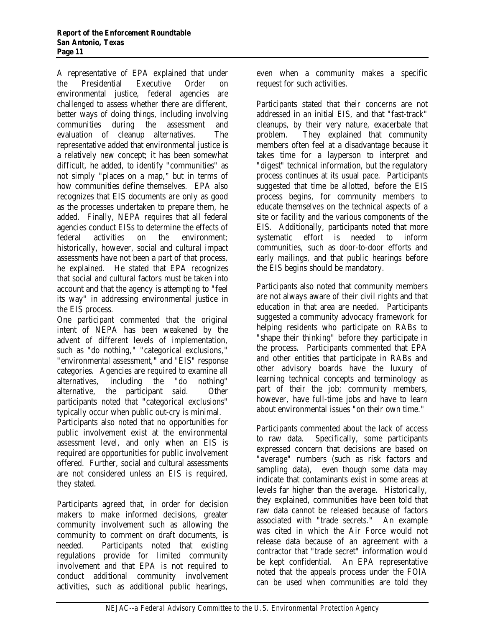A representative of EPA explained that under the Presidential Executive Order on environmental justice, federal agencies are challenged to assess whether there are different, better ways of doing things, including involving communities during the assessment and evaluation of cleanup alternatives. The representative added that environmental justice is a relatively new concept; it has been somewhat difficult, he added, to identify "communities" as not simply "places on a map," but in terms of how communities define themselves. EPA also recognizes that EIS documents are only as good as the processes undertaken to prepare them, he added. Finally, NEPA requires that all federal agencies conduct EISs to determine the effects of federal activities on the environment; historically, however, social and cultural impact assessments have not been a part of that process, he explained. He stated that EPA recognizes that social and cultural factors must be taken into account and that the agency is attempting to "feel its way" in addressing environmental justice in the EIS process.

One participant commented that the original intent of NEPA has been weakened by the advent of different levels of implementation, such as "do nothing," "categorical exclusions," "environmental assessment," and "EIS" response categories. Agencies are required to examine all alternatives, including the "do nothing" alternative, the participant said. Other participants noted that "categorical exclusions" typically occur when public out-cry is minimal.

Participants also noted that no opportunities for public involvement exist at the environmental assessment level, and only when an EIS is required are opportunities for public involvement offered. Further, social and cultural assessments are not considered unless an EIS is required, they stated.

Participants agreed that, in order for decision makers to make informed decisions, greater community involvement such as allowing the community to comment on draft documents, is needed. Participants noted that existing regulations provide for limited community involvement and that EPA is not required to conduct additional community involvement activities, such as additional public hearings,

even when a community makes a specific request for such activities.

Participants stated that their concerns are not addressed in an initial EIS, and that "fast-track" cleanups, by their very nature, exacerbate that problem. They explained that community members often feel at a disadvantage because it takes time for a layperson to interpret and "digest" technical information, but the regulatory process continues at its usual pace. Participants suggested that time be allotted, before the EIS process begins, for community members to educate themselves on the technical aspects of a site or facility and the various components of the EIS. Additionally, participants noted that more systematic effort is needed to inform communities, such as door-to-door efforts and early mailings, and that public hearings before the EIS begins should be mandatory.

Participants also noted that community members are not always aware of their civil rights and that education in that area are needed. Participants suggested a community advocacy framework for helping residents who participate on RABs to "shape their thinking" before they participate in the process. Participants commented that EPA and other entities that participate in RABs and other advisory boards have the luxury of learning technical concepts and terminology as part of their the job; community members, however, have full-time jobs and have to learn about environmental issues "on their own time."

Participants commented about the lack of access to raw data. Specifically, some participants expressed concern that decisions are based on "average" numbers (such as risk factors and sampling data), even though some data may indicate that contaminants exist in some areas at levels far higher than the average. Historically, they explained, communities have been told that raw data cannot be released because of factors associated with "trade secrets." An example was cited in which the Air Force would not release data because of an agreement with a contractor that "trade secret" information would be kept confidential. An EPA representative noted that the appeals process under the FOIA can be used when communities are told they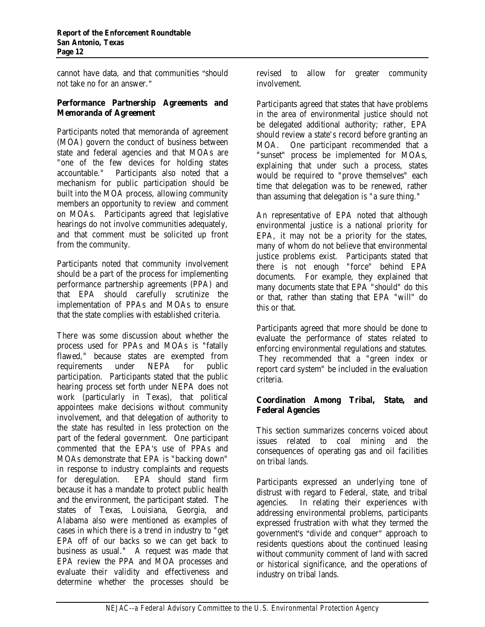cannot have data, and that communities "should not take no for an answer."

# **Performance Partnership Agreements and Memoranda of Agreement**

Participants noted that memoranda of agreement (MOA) govern the conduct of business between state and federal agencies and that MOAs are "one of the few devices for holding states accountable." Participants also noted that a mechanism for public participation should be built into the MOA process, allowing community members an opportunity to review and comment on MOAs. Participants agreed that legislative hearings do not involve communities adequately, and that comment must be solicited up front from the community.

Participants noted that community involvement should be a part of the process for implementing performance partnership agreements (PPA) and that EPA should carefully scrutinize the implementation of PPAs and MOAs to ensure that the state complies with established criteria.

There was some discussion about whether the process used for PPAs and MOAs is "fatally flawed," because states are exempted from requirements under NEPA for public participation. Participants stated that the public hearing process set forth under NEPA does not work (particularly in Texas), that political appointees make decisions without community involvement, and that delegation of authority to the state has resulted in less protection on the part of the federal government. One participant commented that the EPA's use of PPAs and MOAs demonstrate that EPA is "backing down" in response to industry complaints and requests for deregulation. EPA should stand firm because it has a mandate to protect public health and the environment, the participant stated. The states of Texas, Louisiana, Georgia, and Alabama also were mentioned as examples of cases in which there is a trend in industry to "get EPA off of our backs so we can get back to business as usual." A request was made that EPA review the PPA and MOA processes and evaluate their validity and effectiveness and determine whether the processes should be

revised to allow for greater community involvement.

Participants agreed that states that have problems in the area of environmental justice should not be delegated additional authority; rather, EPA should review a state's record before granting an MOA. One participant recommended that a "sunset" process be implemented for MOAs, explaining that under such a process, states would be required to "prove themselves" each time that delegation was to be renewed, rather than assuming that delegation is "a sure thing."

An representative of EPA noted that although environmental justice is a national priority for EPA, it may not be a priority for the states, many of whom do not believe that environmental justice problems exist. Participants stated that there is not enough "force" behind EPA documents. For example, they explained that many documents state that EPA "should" do this or that, rather than stating that EPA "will" do this or that.

Participants agreed that more should be done to evaluate the performance of states related to enforcing environmental regulations and statutes. They recommended that a "green index or report card system" be included in the evaluation criteria.

# **Coordination Among Tribal, State, and Federal Agencies**

This section summarizes concerns voiced about issues related to coal mining and the consequences of operating gas and oil facilities on tribal lands.

Participants expressed an underlying tone of distrust with regard to Federal, state, and tribal agencies. In relating their experiences with addressing environmental problems, participants expressed frustration with what they termed the government's "divide and conquer" approach to residents questions about the continued leasing without community comment of land with sacred or historical significance, and the operations of industry on tribal lands.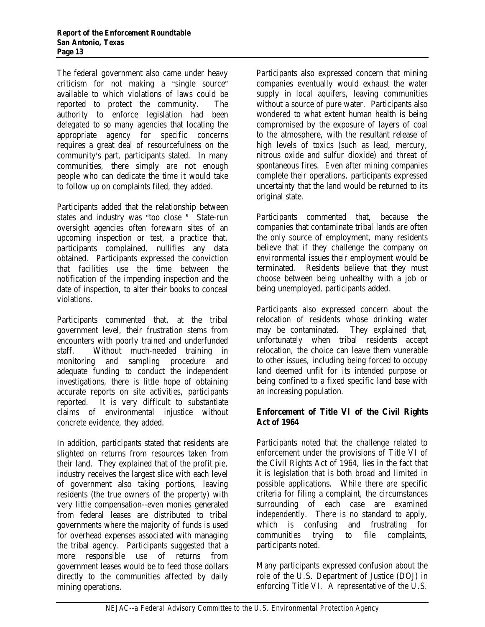The federal government also came under heavy criticism for not making a "single source" available to which violations of laws could be reported to protect the community. The authority to enforce legislation had been delegated to so many agencies that locating the appropriate agency for specific concerns requires a great deal of resourcefulness on the community's part, participants stated. In many communities, there simply are not enough people who can dedicate the time it would take to follow up on complaints filed, they added.

Participants added that the relationship between states and industry was "too close " State-run oversight agencies often forewarn sites of an upcoming inspection or test, a practice that, participants complained, nullifies any data obtained. Participants expressed the conviction that facilities use the time between the notification of the impending inspection and the date of inspection, to alter their books to conceal violations.

Participants commented that, at the tribal government level, their frustration stems from encounters with poorly trained and underfunded staff. Without much-needed training in monitoring and sampling procedure and adequate funding to conduct the independent investigations, there is little hope of obtaining accurate reports on site activities, participants reported. It is very difficult to substantiate claims of environmental injustice without concrete evidence, they added.

In addition, participants stated that residents are slighted on returns from resources taken from their land. They explained that of the profit pie, industry receives the largest slice with each level of government also taking portions, leaving residents (the true owners of the property) with very little compensation--even monies generated from federal leases are distributed to tribal governments where the majority of funds is used for overhead expenses associated with managing the tribal agency. Participants suggested that a more responsible use of returns from government leases would be to feed those dollars directly to the communities affected by daily mining operations.

Participants also expressed concern that mining companies eventually would exhaust the water supply in local aquifers, leaving communities without a source of pure water. Participants also wondered to what extent human health is being compromised by the exposure of layers of coal to the atmosphere, with the resultant release of high levels of toxics (such as lead, mercury, nitrous oxide and sulfur dioxide) and threat of spontaneous fires. Even after mining companies complete their operations, participants expressed uncertainty that the land would be returned to its original state.

Participants commented that, because the companies that contaminate tribal lands are often the only source of employment, many residents believe that if they challenge the company on environmental issues their employment would be terminated. Residents believe that they must choose between being unhealthy with a job or being unemployed, participants added.

Participants also expressed concern about the relocation of residents whose drinking water may be contaminated. They explained that, unfortunately when tribal residents accept relocation, the choice can leave them vunerable to other issues, including being forced to occupy land deemed unfit for its intended purpose or being confined to a fixed specific land base with an increasing population.

# **Enforcement of Title VI of the Civil Rights Act of 1964**

Participants noted that the challenge related to enforcement under the provisions of Title VI of the Civil Rights Act of 1964, lies in the fact that it is legislation that is both broad and limited in possible applications. While there are specific criteria for filing a complaint, the circumstances surrounding of each case are examined independently. There is no standard to apply, which is confusing and frustrating for communities trying to file complaints, participants noted.

Many participants expressed confusion about the role of the U.S. Department of Justice (DOJ) in enforcing Title VI. A representative of the U.S.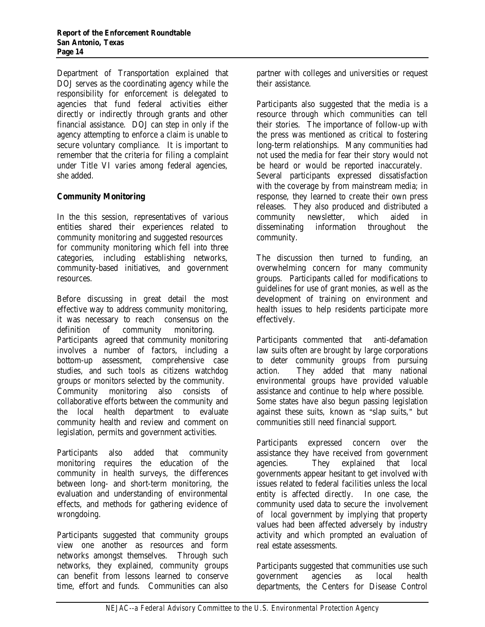Department of Transportation explained that DOJ serves as the coordinating agency while the responsibility for enforcement is delegated to agencies that fund federal activities either directly or indirectly through grants and other financial assistance. DOJ can step in only if the agency attempting to enforce a claim is unable to secure voluntary compliance. It is important to remember that the criteria for filing a complaint under Title VI varies among federal agencies, she added.

# **Community Monitoring**

In the this session, representatives of various entities shared their experiences related to community monitoring and suggested resources for community monitoring which fell into three categories, including establishing networks, community-based initiatives, and government resources.

Before discussing in great detail the most effective way to address community monitoring, it was necessary to reach consensus on the definition of community monitoring. Participants agreed that community monitoring involves a number of factors, including a bottom-up assessment, comprehensive case studies, and such tools as citizens watchdog groups or monitors selected by the community. Community monitoring also consists of collaborative efforts between the community and the local health department to evaluate community health and review and comment on legislation, permits and government activities.

Participants also added that community monitoring requires the education of the community in health surveys, the differences between long- and short-term monitoring, the evaluation and understanding of environmental effects, and methods for gathering evidence of wrongdoing.

Participants suggested that community groups view one another as resources and form networks amongst themselves. Through such networks, they explained, community groups can benefit from lessons learned to conserve time, effort and funds. Communities can also

partner with colleges and universities or request their assistance.

Participants also suggested that the media is a resource through which communities can tell their stories. The importance of follow-up with the press was mentioned as critical to fostering long-term relationships. Many communities had not used the media for fear their story would not be heard or would be reported inaccurately. Several participants expressed dissatisfaction with the coverage by from mainstream media; in response, they learned to create their own press releases. They also produced and distributed a community newsletter, which aided in disseminating information throughout the community.

The discussion then turned to funding, an overwhelming concern for many community groups. Participants called for modifications to guidelines for use of grant monies, as well as the development of training on environment and health issues to help residents participate more effectively.

Participants commented that anti-defamation law suits often are brought by large corporations to deter community groups from pursuing action. They added that many national environmental groups have provided valuable assistance and continue to help where possible. Some states have also begun passing legislation against these suits, known as "slap suits," but communities still need financial support.

Participants expressed concern over the assistance they have received from government agencies. They explained that local governments appear hesitant to get involved with issues related to federal facilities unless the local entity is affected directly. In one case, the community used data to secure the involvement of local government by implying that property values had been affected adversely by industry activity and which prompted an evaluation of real estate assessments.

Participants suggested that communities use such government agencies as local health departments, the Centers for Disease Control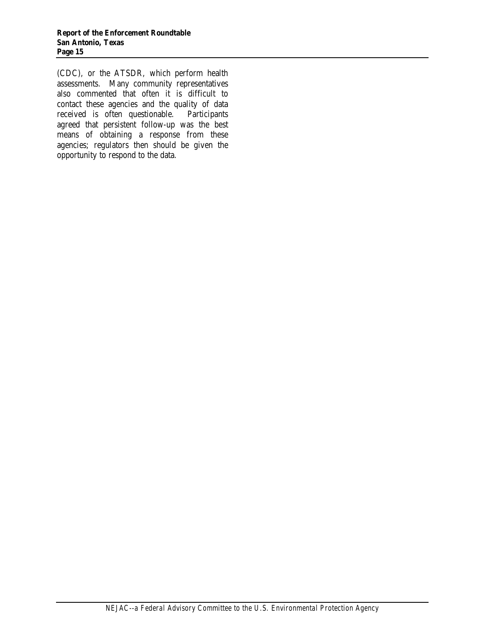(CDC), or the ATSDR, which perform health assessments. Many community representatives also commented that often it is difficult to contact these agencies and the quality of data received is often questionable. Participants agreed that persistent follow-up was the best means of obtaining a response from these agencies; regulators then should be given the opportunity to respond to the data.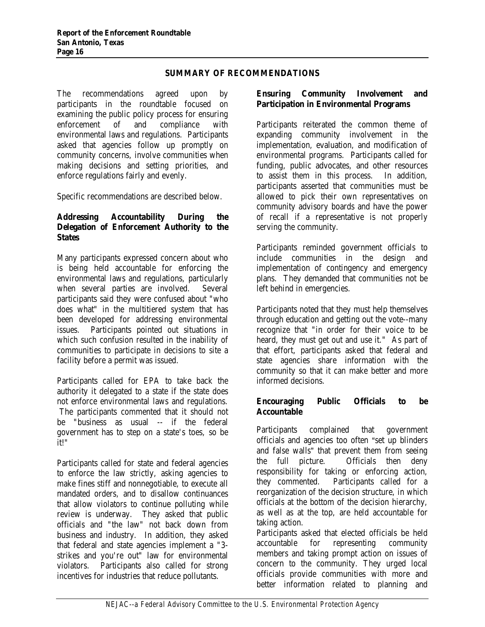# **SUMMARY OF RECOMMENDATIONS**

The recommendations agreed upon by participants in the roundtable focused on examining the public policy process for ensuring enforcement of and compliance with environmental laws and regulations. Participants asked that agencies follow up promptly on community concerns, involve communities when making decisions and setting priorities, and enforce regulations fairly and evenly.

Specific recommendations are described below.

# **Addressing Accountability During the Delegation of Enforcement Authority to the States**

Many participants expressed concern about who is being held accountable for enforcing the environmental laws and regulations, particularly when several parties are involved. Several participants said they were confused about "who does what" in the multitiered system that has been developed for addressing environmental issues. Participants pointed out situations in which such confusion resulted in the inability of communities to participate in decisions to site a facility before a permit was issued.

Participants called for EPA to take back the authority it delegated to a state if the state does not enforce environmental laws and regulations. The participants commented that it should not be "business as usual -- if the federal government has to step on a state's toes, so be it!"

Participants called for state and federal agencies to enforce the law strictly, asking agencies to make fines stiff and nonnegotiable, to execute all mandated orders, and to disallow continuances that allow violators to continue polluting while review is underway. They asked that public officials and "the law" not back down from business and industry. In addition, they asked that federal and state agencies implement a "3 strikes and you're out" law for environmental violators. Participants also called for strong incentives for industries that reduce pollutants.

# **Ensuring Community Involvement and Participation in Environmental Programs**

Participants reiterated the common theme of expanding community involvement in the implementation, evaluation, and modification of environmental programs. Participants called for funding, public advocates, and other resources to assist them in this process. In addition, participants asserted that communities must be allowed to pick their own representatives on community advisory boards and have the power of recall if a representative is not properly serving the community.

Participants reminded government officials to include communities in the design and implementation of contingency and emergency plans. They demanded that communities not be left behind in emergencies.

Participants noted that they must help themselves through education and getting out the vote--many recognize that "in order for their voice to be heard, they must get out and use it." As part of that effort, participants asked that federal and state agencies share information with the community so that it can make better and more informed decisions.

# **Encouraging Public Officials to be Accountable**

Participants complained that government officials and agencies too often "set up blinders and false walls" that prevent them from seeing the full picture. Officials then deny responsibility for taking or enforcing action, they commented. Participants called for a reorganization of the decision structure, in which officials at the bottom of the decision hierarchy, as well as at the top, are held accountable for taking action.

Participants asked that elected officials be held accountable for representing community members and taking prompt action on issues of concern to the community. They urged local officials provide communities with more and better information related to planning and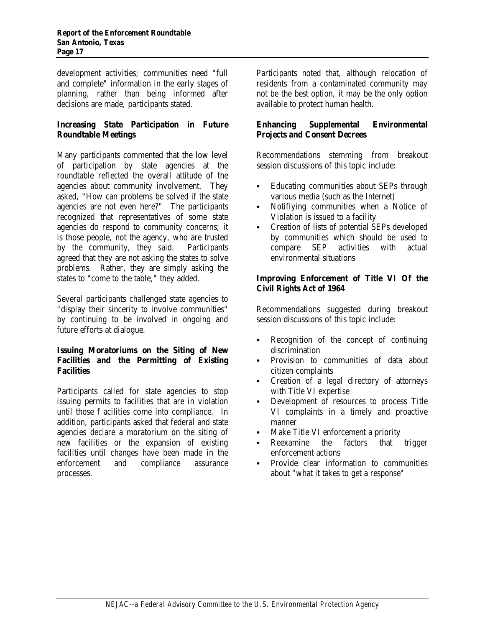development activities; communities need "full and complete" information in the early stages of planning, rather than being informed after decisions are made, participants stated.

# **Increasing State Participation in Future Roundtable Meetings**

Many participants commented that the low level of participation by state agencies at the roundtable reflected the overall attitude of the agencies about community involvement. They asked, "How can problems be solved if the state agencies are not even here?" The participants recognized that representatives of some state agencies do respond to community concerns; it is those people, not the agency, who are trusted by the community, they said. Participants agreed that they are not asking the states to solve problems. Rather, they are simply asking the states to "come to the table," they added.

Several participants challenged state agencies to "display their sincerity to involve communities" by continuing to be involved in ongoing and future efforts at dialogue.

# **Issuing Moratoriums on the Siting of New Facilities and the Permitting of Existing Facilities**

Participants called for state agencies to stop issuing permits to facilities that are in violation until those f acilities come into compliance. In addition, participants asked that federal and state agencies declare a moratorium on the siting of new facilities or the expansion of existing facilities until changes have been made in the enforcement and compliance assurance processes.

Participants noted that, although relocation of residents from a contaminated community may not be the best option, it may be the only option available to protect human health.

# **Enhancing Supplemental Environmental Projects and Consent Decrees**

Recommendations stemming from breakout session discussions of this topic include:

- Educating communities about SEPs through various media (such as the Internet)
- Notifiying communities when a Notice of Violation is issued to a facility
- Creation of lists of potential SEPs developed by communities which should be used to compare SEP activities with actual environmental situations

# **Improving Enforcement of Title VI Of the Civil Rights Act of 1964**

Recommendations suggested during breakout session discussions of this topic include:

- $\bullet$  Recognition of the concept of continuing discrimination
- Provision to communities of data about citizen complaints
- Creation of a legal directory of attorneys with Title VI expertise
- Development of resources to process Title VI complaints in a timely and proactive manner
- Make Title VI enforcement a priority
- Reexamine the factors that trigger enforcement actions
- Provide clear information to communities about "what it takes to get a response"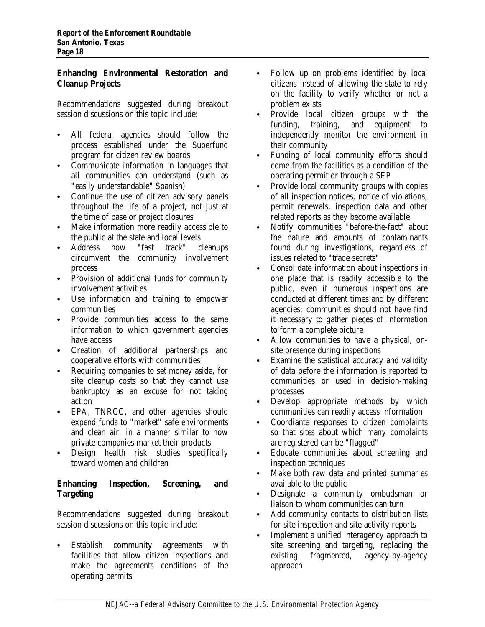# **Enhancing Environmental Restoration and Cleanup Projects**

Recommendations suggested during breakout session discussions on this topic include:

- All federal agencies should follow the process established under the Superfund program for citizen review boards
- Communicate information in languages that all communities can understand (such as "easily understandable" Spanish)
- Continue the use of citizen advisory panels throughout the life of a project, not just at the time of base or project closures
- Make information more readily accessible to the public at the state and local levels
- Address how "fast track" cleanups circumvent the community involvement process
- Provision of additional funds for community involvement activities
- Use information and training to empower communities
- Provide communities access to the same information to which government agencies have access
- Creation of additional partnerships and cooperative efforts with communities
- Requiring companies to set money aside, for site cleanup costs so that they cannot use bankruptcy as an excuse for not taking action
- EPA, TNRCC, and other agencies should expend funds to "market" safe environments and clean air, in a manner similar to how private companies market their products
- Design health risk studies specifically toward women and children

# **Enhancing Inspection, Screening, and Targeting**

Recommendations suggested during breakout session discussions on this topic include:

Establish community agreements with facilities that allow citizen inspections and make the agreements conditions of the operating permits

- Follow up on problems identified by local citizens instead of allowing the state to rely on the facility to verify whether or not a problem exists
- Provide local citizen groups with the funding, training, and equipment to independently monitor the environment in their community
- Funding of local community efforts should come from the facilities as a condition of the operating permit or through a SEP
- Provide local community groups with copies of all inspection notices, notice of violations, permit renewals, inspection data and other related reports as they become available
- Notify communities "before-the-fact" about the nature and amounts of contaminants found during investigations, regardless of issues related to "trade secrets"
- Consolidate information about inspections in one place that is readily accessible to the public, even if numerous inspections are conducted at different times and by different agencies; communities should not have find it necessary to gather pieces of information to form a complete picture
- Allow communities to have a physical, onsite presence during inspections
- Examine the statistical accuracy and validity of data before the information is reported to communities or used in decision-making processes
- Develop appropriate methods by which communities can readily access information
- Coordiante responses to citizen complaints so that sites about which many complaints are registered can be "flagged"
- Educate communities about screening and inspection techniques
- Make both raw data and printed summaries available to the public
- Designate a community ombudsman or liaison to whom communities can turn
- Add community contacts to distribution lists for site inspection and site activity reports
- Implement a unified interagency approach to site screening and targeting, replacing the existing fragmented, agency-by-agency approach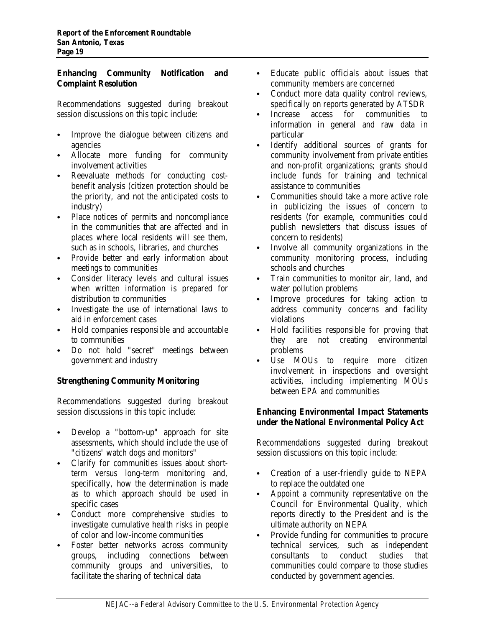# **Enhancing Community Notification and Complaint Resolution**

Recommendations suggested during breakout session discussions on this topic include:

- Improve the dialogue between citizens and agencies
- Allocate more funding for community involvement activities
- Reevaluate methods for conducting costbenefit analysis (citizen protection should be the priority, and not the anticipated costs to industry)
- Place notices of permits and noncompliance in the communities that are affected and in places where local residents will see them, such as in schools, libraries, and churches
- Provide better and early information about meetings to communities
- Consider literacy levels and cultural issues when written information is prepared for distribution to communities
- C Investigate the use of international laws to aid in enforcement cases
- Hold companies responsible and accountable to communities
- Do not hold "secret" meetings between government and industry

# **Strengthening Community Monitoring**

Recommendations suggested during breakout session discussions in this topic include:

- Develop a "bottom-up" approach for site assessments, which should include the use of "citizens' watch dogs and monitors"
- Clarify for communities issues about shortterm versus long-term monitoring and, specifically, how the determination is made as to which approach should be used in specific cases
- Conduct more comprehensive studies to investigate cumulative health risks in people of color and low-income communities
- Foster better networks across community groups, including connections between community groups and universities, to facilitate the sharing of technical data
- Educate public officials about issues that community members are concerned
- Conduct more data quality control reviews, specifically on reports generated by ATSDR
- Increase access for communities to information in general and raw data in particular
- Identify additional sources of grants for community involvement from private entities and non-profit organizations; grants should include funds for training and technical assistance to communities
- Communities should take a more active role in publicizing the issues of concern to residents (for example, communities could publish newsletters that discuss issues of concern to residents)
- Involve all community organizations in the community monitoring process, including schools and churches
- Train communities to monitor air, land, and water pollution problems
- Improve procedures for taking action to address community concerns and facility violations
- Hold facilities responsible for proving that they are not creating environmental problems
- Use MOUs to require more citizen involvement in inspections and oversight activities, including implementing MOUs between EPA and communities

# **Enhancing Environmental Impact Statements under the National Environmental Policy Act**

Recommendations suggested during breakout session discussions on this topic include:

- Creation of a user-friendly guide to NEPA to replace the outdated one
- Appoint a community representative on the Council for Environmental Quality, which reports directly to the President and is the ultimate authority on NEPA
- Provide funding for communities to procure technical services, such as independent consultants to conduct studies that communities could compare to those studies conducted by government agencies.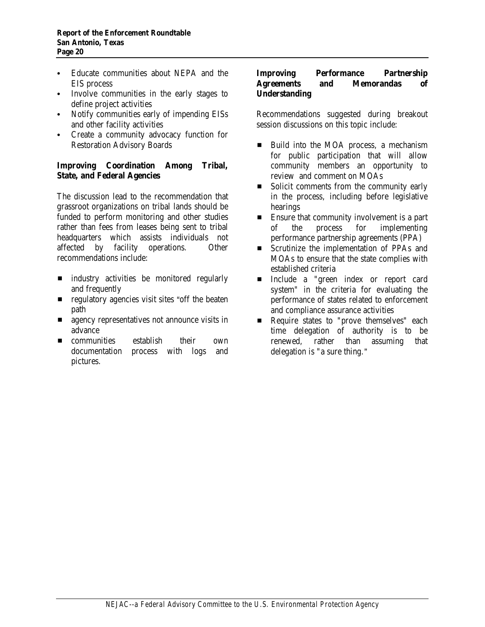- Educate communities about NEPA and the EIS process
- Involve communities in the early stages to define project activities
- Notify communities early of impending EISs and other facility activities
- Create a community advocacy function for Restoration Advisory Boards

# **Improving Coordination Among Tribal, State, and Federal Agencies**

The discussion lead to the recommendation that grassroot organizations on tribal lands should be funded to perform monitoring and other studies rather than fees from leases being sent to tribal headquarters which assists individuals not affected by facility operations. Other recommendations include:

- industry activities be monitored regularly and frequently
- regulatory agencies visit sites "off the beaten" path
- agency representatives not announce visits in advance
- communities establish their own documentation process with logs and pictures.

# **Improving Performance Partnership Agreements and Memorandas of Understanding**

Recommendations suggested during breakout session discussions on this topic include:

- Build into the MOA process, a mechanism for public participation that will allow community members an opportunity to review and comment on MOAs
- **EXECUTE:** Solicit comments from the community early in the process, including before legislative hearings
- $\blacksquare$  Ensure that community involvement is a part of the process for implementing performance partnership agreements (PPA)
- **EXECUTE:** Scrutinize the implementation of PPAs and MOAs to ensure that the state complies with established criteria
- $\blacksquare$  Include a "green index or report card system" in the criteria for evaluating the performance of states related to enforcement and compliance assurance activities
- **EXECUTE:** Require states to "prove themselves" each time delegation of authority is to be renewed, rather than assuming that delegation is "a sure thing."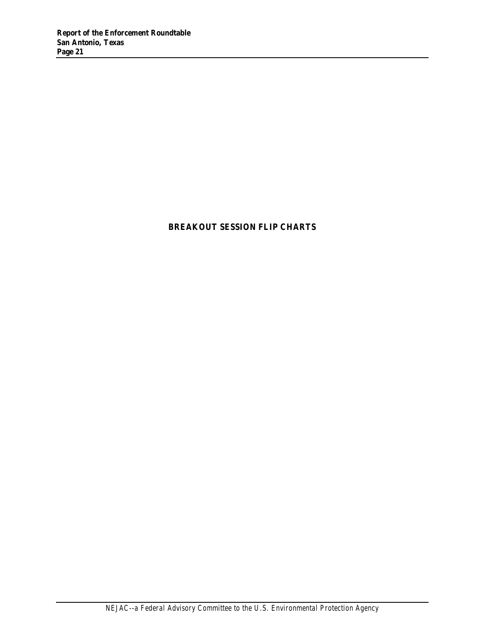# **BREAKOUT SESSION FLIP CHARTS**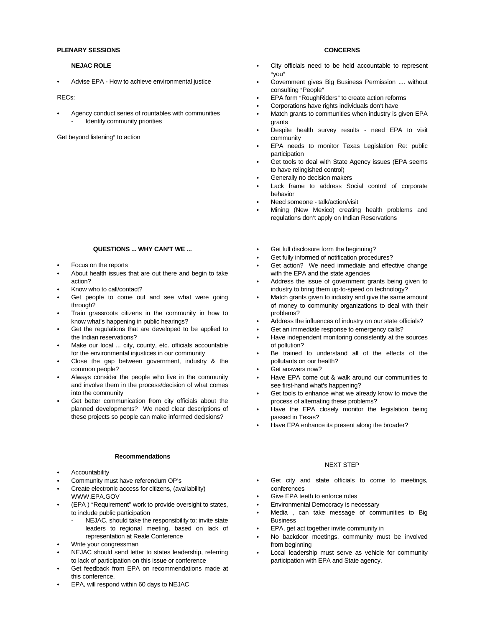#### **PLENARY SESSIONS**

#### **NEJAC ROLE**

Advise EPA - How to achieve environmental justice

RECs:

Agency conduct series of rountables with communities Identify community priorities

Get beyond listening" to action

#### **QUESTIONS ... WHY CAN'T WE ...**

- Focus on the reports
- About health issues that are out there and begin to take action?
- Know who to call/contact?
- Get people to come out and see what were going through?
- Train grassroots citizens in the community in how to know what's happening in public hearings?
- Get the regulations that are developed to be applied to the Indian reservations?
- Make our local ... city, county, etc. officials accountable for the environmental injustices in our community
- Close the gap between government, industry & the common people?
- Always consider the people who live in the community and involve them in the process/decision of what comes into the community
- Get better communication from city officials about the planned developments? We need clear descriptions of these projects so people can make informed decisions?

#### **Recommendations**

- Accountability
- Community must have referendum OP's
- Create electronic access for citizens, (availability)
- WWW.EPA.GOV
- (EPA) "Requirement" work to provide oversight to states, to include public participation
	- NEJAC, should take the responsibility to: invite state leaders to regional meeting, based on lack of representation at Reale Conference
- Write your congressman
- NEJAC should send letter to states leadership, referring to lack of participation on this issue or conference
- Get feedback from EPA on recommendations made at this conference.
- EPA, will respond within 60 days to NEJAC

#### **CONCERNS**

- City officials need to be held accountable to represent "vou"
- Government gives Big Business Permission .... without consulting "People"
- EPA form "RoughRiders" to create action reforms
- Corporations have rights individuals don't have
- Match grants to communities when industry is given EPA grants
- Despite health survey results need EPA to visit community
- EPA needs to monitor Texas Legislation Re: public participation
- Get tools to deal with State Agency issues (EPA seems to have relingished control)
- Generally no decision makers
- Lack frame to address Social control of corporate behavior
- Need someone talk/action/visit
- Mining (New Mexico) creating health problems and regulations don't apply on Indian Reservations
- Get full disclosure form the beginning?
- Get fully informed of notification procedures?
- Get action? We need immediate and effective change with the EPA and the state agencies
- Address the issue of government grants being given to industry to bring them up-to-speed on technology?
- Match grants given to industry and give the same amount of money to community organizations to deal with their problems?
- Address the influences of industry on our state officials?
- Get an immediate response to emergency calls?
- Have independent monitoring consistently at the sources of pollution?
- Be trained to understand all of the effects of the pollutants on our health?
- Get answers now?
- Have EPA come out & walk around our communities to see first-hand what's happening?
- Get tools to enhance what we already know to move the process of alternating these problems?
- Have the EPA closely monitor the legislation being passed in Texas?
- Have EPA enhance its present along the broader?

#### NEXT STEP

- Get city and state officials to come to meetings, conferences
- Give EPA teeth to enforce rules
- Environmental Democracy is necessary
- Media , can take message of communities to Big Business
- EPA, get act together invite community in
- No backdoor meetings, community must be involved from beginning
- Local leadership must serve as vehicle for community participation with EPA and State agency.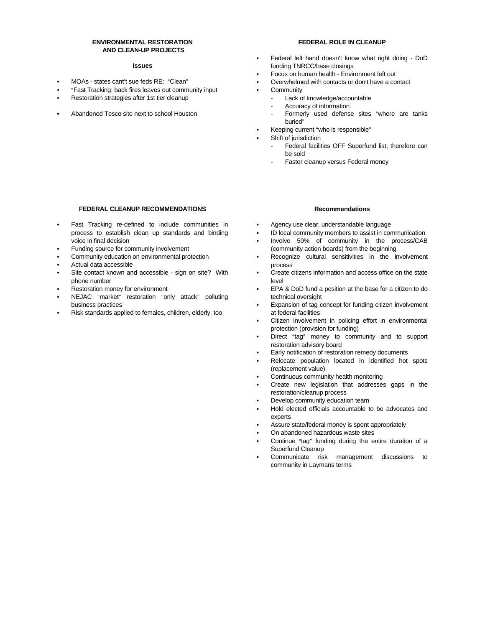#### **ENVIRONMENTAL RESTORATION AND CLEAN-UP PROJECTS**

#### **Issues**

- $\bullet$ MOAs - states cant't sue feds RE: "Clean"
- $\bullet$ "Fast Tracking: back fires leaves out community input
- $\bullet$ Restoration strategies after 1st tier cleanup
- Abandoned Tesco site next to school Houston

#### **FEDERAL ROLE IN CLEANUP**

- Federal left hand doesn't know what right doing DoD funding TNRCC/base closings
- C Focus on human health Environment left out
- Overwhelmed with contacts or don't have a contact
- **Community** 
	- Lack of knowledge/accountable
	- Accuracy of information
	- Formerly used defense sites "where are tanks buried"
	- Keeping current "who is responsible"
- Shift of jurisdiction
	- Federal facilities OFF Superfund list, therefore can be sold
		- Faster cleanup versus Federal money

#### **FEDERAL CLEANUP RECOMMENDATIONS**

- Fast Tracking re-defined to include communities in process to establish clean up standards and binding voice in final decision
- Funding source for community involvement
- Community education on environmental protection
- Actual data accessible
- Site contact known and accessible sign on site? With phone number
- Restoration money for environment
- NEJAC "market" restoration "only attack" polluting business practices
- Risk standards applied to females, children, elderly, too

#### **Recommendations**

- Agency use clear, understandable language
- ID local community members to assist in communication
- Involve 50% of community in the process/CAB (community action boards) from the beginning
- Recognize cultural sensitivities in the involvement process
- Create citizens information and access office on the state level
- EPA & DoD fund a position at the base for a citizen to do technical oversight
- Expansion of tag concept for funding citizen involvement at federal facilities
- Citizen involvement in policing effort in environmental protection (provision for funding)
- Direct "tag" money to community and to support restoration advisory board
- Early notification of restoration remedy documents
- Relocate population located in identified hot spots (replacement value)
- Continuous community health monitoring
- Create new legislation that addresses gaps in the restoration/cleanup process
- Develop community education team
- Hold elected officials accountable to be advocates and experts
- Assure state/federal money is spent appropriately
- On abandoned hazardous waste sites
- Continue "tag" funding during the entire duration of a Superfund Cleanup
- Communicate risk management discussions to community in Laymans terms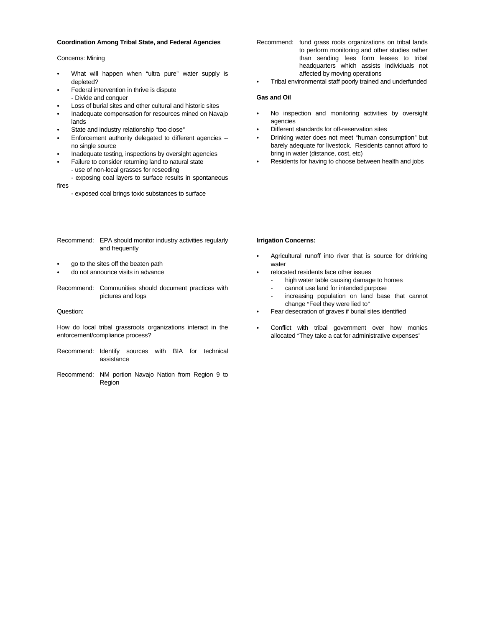#### **Coordination Among Tribal State, and Federal Agencies**

Concerns: Mining

- What will happen when "ultra pure" water supply is depleted?
- Federal intervention in thrive is dispute - Divide and conquer
- Loss of burial sites and other cultural and historic sites
- Inadequate compensation for resources mined on Navajo lands
- State and industry relationship "too close"
- Enforcement authority delegated to different agencies -no single source
- Inadequate testing, inspections by oversight agencies
- Failure to consider returning land to natural state - use of non-local grasses for reseeding
- exposing coal layers to surface results in spontaneous fires
	- exposed coal brings toxic substances to surface
- Recommend: EPA should monitor industry activities regularly and frequently
- go to the sites off the beaten path
- do not announce visits in advance
- Recommend: Communities should document practices with pictures and logs

Question:

How do local tribal grassroots organizations interact in the enforcement/compliance process?

- Recommend: Identify sources with BIA for technical assistance
- Recommend: NM portion Navajo Nation from Region 9 to Region
- Recommend: fund grass roots organizations on tribal lands to perform monitoring and other studies rather than sending fees form leases to tribal headquarters which assists individuals not affected by moving operations
- Tribal environmental staff poorly trained and underfunded

#### **Gas and Oil**

- No inspection and monitoring activities by oversight agencies
- Different standards for off-reservation sites
- Drinking water does not meet "human consumption" but barely adequate for livestock. Residents cannot afford to bring in water (distance, cost, etc)
- Residents for having to choose between health and jobs

#### **Irrigation Concerns:**

- Agricultural runoff into river that is source for drinking water
- relocated residents face other issues
	- high water table causing damage to homes
	- cannot use land for intended purpose
	- increasing population on land base that cannot change "Feel they were lied to"
- Fear desecration of graves if burial sites identified
- Conflict with tribal government over how monies allocated "They take a cat for administrative expenses"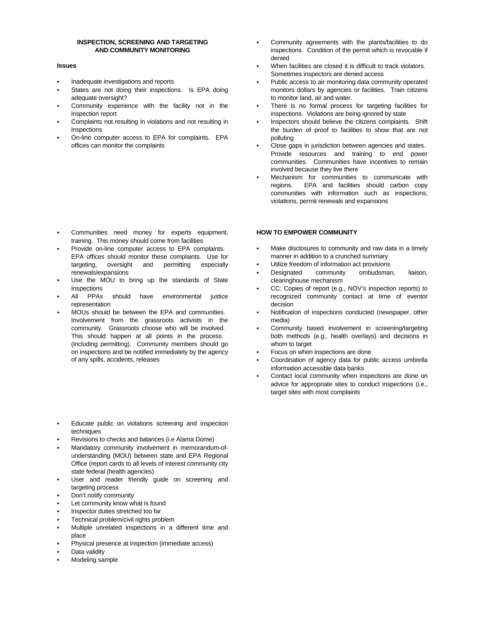#### **INSPECTION, SCREENING AND TARGETING AND COMMUNITY MONITORING**

#### **Issues**

- Inadequate investigations and reports
- States are not doing their inspections. Is EPA doing adequate oversight?
- Community experience with the facility not in the inspection report
- Complaints not resulting in violations and not resulting in inspections
- On-line computer access to EPA for complaints. EPA offices can monitor the complaints

- Communities need money for experts equipment, training. This money should come from facilities
- Provide on-line computer access to EPA complaints. EPA offices should monitor these complaints. Use for targeting, oversight and permitting especially renewals/expansions
- Use the MOU to bring up the standards of State Inspections
- All PPAs should have environmental justice representation
- MOUs should be between the EPA and communities. Involvement from the grassroots activists in the community. Grassroots choose who will be involved. This should happen at all points in the process. (including permitting). Community members should go on inspections and be notified immediately by the agency of any spills, accidents, releases
- Educate public on violations screening and inspection techniques
- Revisions to checks and balances (i.e Alama Dome)
- Mandatory community involvement in memorandum-ofunderstanding (MOU) between state and EPA Regional Office (report cards to all levels of interest community city state federal (health agencies)
- User and reader friendly guide on screening and targeting process
- Don't notify community
- Let community know what is found
- Inspector duties stretched too far
- Technical problem/civil rights problem
- Multiple unrelated inspections in a different time and place
- Physical presence at inspection (immediate access)
- Data validity
- Modeling sample
- Community agreements with the plants/facilities to do inspections. Condition of the permit which is revocable if denied
- When facilities are closed it is difficult to track violators. Sometimes inspectors are denied access
- Public access to air monitoring data community operated monitors dollars by agencies or facilities. Train citizens to monitor land, air and water.
- There is no formal process for targeting facilities for inspections. Violations are being ignored by state
- Inspectors should believe the citizens complaints. Shift the burden of proof to facilities to show that are not polluting
- Close gaps in jurisdiction between agencies and states. Provide resources and training to end power communities. Communities have incentives to remain involved because they live there
- Mechanism for communities to communicate with regions. EPA and facilities should carbon copy communities with information such as inspections, violations, permit renewals and expansions

#### **HOW TO EMPOWER COMMUNITY**

- Make disclosures to community and raw data in a timely manner in addition to a crunched summary
- Utilize freedom of information act provisions<br>Designated community ombudsmar
- Designated community ombudsman, liaison, clearinghouse mechanism
- CC: Copies of report (e.g., NOV's inspection reports) to recognized community contact at time of eventor decision
- Notification of inspections conducted (newspaper, other media)
- Community based involvement in screening/targeting both methods (e.g., health overlays) and decisions in whom to target
- Focus on when inspections are done
- Coordination of agency data for public access umbrella information accessible data banks
- Contact local community when inspections are done on advice for appropriate sites to conduct inspections (i.e., target sites with most complaints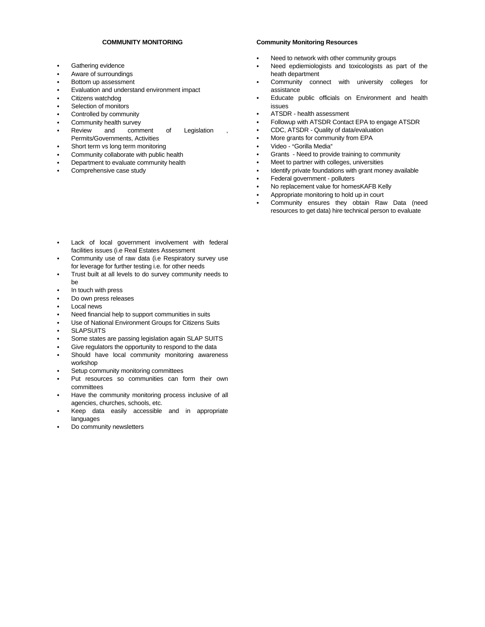#### **COMMUNITY MONITORING**

- Gathering evidence
- Aware of surroundings
- Bottom up assessment
- Evaluation and understand environment impact
- Citizens watchdog
- Selection of monitors
- Controlled by community
- Community health survey<br>Review and comm
- comment of Legislation Permits/Governments, Activities
- Short term vs long term monitoring
- Community collaborate with public health
- Department to evaluate community health
- Comprehensive case study

#### **Community Monitoring Resources**

- Need to network with other community groups
- Need epdiemiologists and toxicologists as part of the heath department
- Community connect with university colleges for assistance
- Educate public officials on Environment and health issues
- ATSDR health assessment
- Followup with ATSDR Contact EPA to engage ATSDR
- C CDC, ATSDR Quality of data/evaluation
- More grants for community from EPA
- Video "Gorilla Media"
- Grants Need to provide training to community
- Meet to partner with colleges, universities
- Identify private foundations with grant money available
- Federal government polluters
- No replacement value for homesKAFB Kelly
- Appropriate monitoring to hold up in court
- Community ensures they obtain Raw Data (need resources to get data) hire technical person to evaluate
- Lack of local government involvement with federal facilities issues (i.e Real Estates Assessment
- Community use of raw data (i.e Respiratory survey use for leverage for further testing i.e. for other needs
- Trust built at all levels to do survey community needs to be
- In touch with press
- Do own press releases
- Local news
- Need financial help to support communities in suits
- Use of National Environment Groups for Citizens Suits
- **SLAPSUITS**
- Some states are passing legislation again SLAP SUITS
- Give regulators the opportunity to respond to the data
- Should have local community monitoring awareness workshop
- Setup community monitoring committees
- Put resources so communities can form their own committees
- Have the community monitoring process inclusive of all agencies, churches, schools, etc.
- Keep data easily accessible and in appropriate languages
- Do community newsletters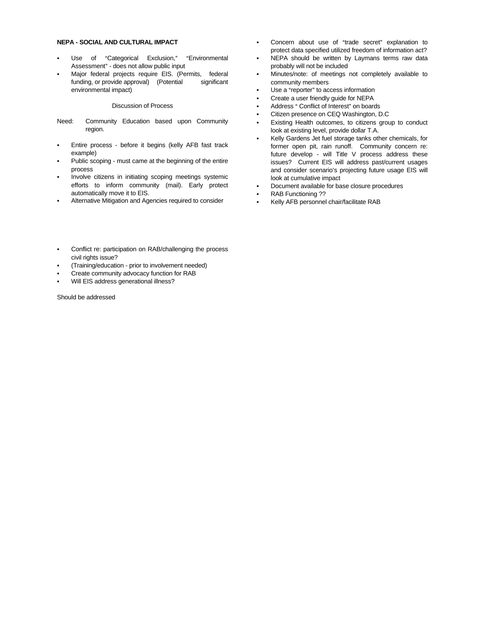#### **NEPA - SOCIAL AND CULTURAL IMPACT**

- $\bullet$ Use of "Categorical Exclusion," "Environmental Assessment" - does not allow public input
- $\bullet$ Major federal projects require EIS. (Pe rmits, federal funding, or provide approval) (Potential environmental impact) significant

#### Discussion of Process

- Need: Community Education based upon Community region.
- Entire process before it begins (kelly AFB fast track example)
- Public scoping must came at the beginning of the entire process
- Involve citizens in initiating scoping meetings systemic efforts to inform community (mail). Early protect automatically move it to EIS.
- Alternative Mitigation and Agencies required to consider
- Conflict re: participation on RAB/challenging the process civil rights issue?
- C (Training/education prior to involvement needed)
- Create community advocacy function for RAB
- Will EIS address generational illness?

#### Should be addressed

- Concern about use of "trade secret" explanation to protect data specified utilized freedom of information act?
- NEPA should be written by Laymans terms raw data probably will not be included
- Minutes/note: of meetings not completely available to community members
- Use a "reporter" to access information
- Create a user friendly guide for NEPA
- Address " Conflict of Interest" on boards
- Citizen presence on CEQ Washington, D.C
- Existing Health outcomes, to citizens group to conduct look at existing level, provide dollar T.A.
- Kelly Gardens Jet fuel storage tanks other chemicals, for former open pit, rain runoff. Community concern re: future develop - will Title V process address these issues? Current EIS will address past/current usages and consider scenario's projecting future usage EIS will look at cumulative impact
- Document available for base closure procedures
- RAB Functioning ??
- Kelly AFB personnel chair/facilitate RAB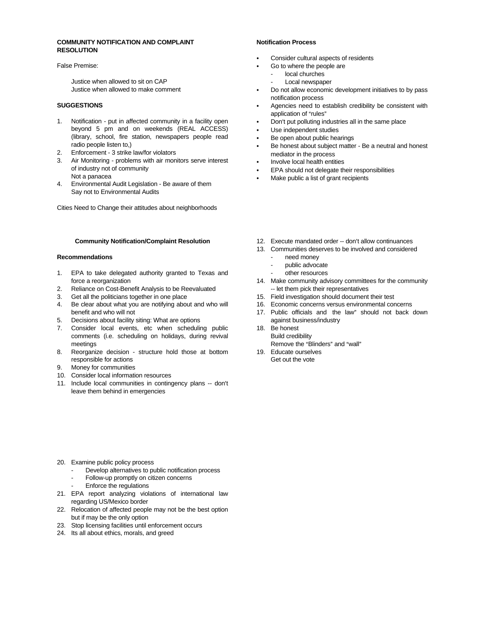#### **COMMUNITY NOTIFICATION AND COMPLAINT RESOLUTION**

False Premise:

Justice when allowed to sit on CAP Justice when allowed to make comment

#### **SUGGESTIONS**

- 1. Notification put in affected community in a facility open beyond 5 pm and on weekends (REAL ACCESS) (library, school, fire station, newspapers people read radio people listen to,)
- 2. Enforcement 3 strike law/for violators
- 3. Air Monitoring problems with air monitors serve interest of industry not of community Not a panacea
- 4. Environmental Audit Legislation Be aware of them Say not to Environmental Audits

Cities Need to Change their attitudes about neighborhoods

#### **Community Notification/Complaint Resolution**

#### **Recommendations**

- 1. EPA to take delegated authority granted to Texas and force a reorganization
- 2. Reliance on Cost-Benefit Analysis to be Reevaluated
- 3. Get all the politicians together in one place
- 4. Be clear about what you are notifying about and who will benefit and who will not
- 5. Decisions about facility siting: What are options
- 7. Consider local events, etc when scheduling public comments (i.e. scheduling on holidays, during revival meetings
- 8. Reorganize decision structure hold those at bottom responsible for actions
- 9. Money for communities
- 10. Consider local information resources
- 11. Include local communities in contingency plans -- don't leave them behind in emergencies

#### **Notification Process**

- Consider cultural aspects of residents
	- Go to where the people are
		- local churches
		- Local newspaper
- Do not allow economic development initiatives to by pass notification process
- Agencies need to establish credibility be consistent with application of "rules"
- Don't put polluting industries all in the same place
- Use independent studies
- Be open about public hearings
- Be honest about subject matter Be a neutral and honest mediator in the process
- Involve local health entities
- EPA should not delegate their responsibilities
- Make public a list of grant recipients
- 12. Execute mandated order -- don't allow continuances
- 13. Communities deserves to be involved and considered need money
	- public advocate
	- other resources
- 14. Make community advisory committees for the community -- let them pick their representatives
- 15. Field investigation should document their test
- 16. Economic concerns versus environmental concerns
- 17. Public officials and the law" should not back down against business/industry
- 18. Be honest Build credibility Remove the "Blinders" and "wall"
- 19. Educate ourselves Get out the vote

- 20. Examine public policy process
	- Develop alternatives to public notification process
	- Follow-up promptly on citizen concerns
	- Enforce the regulations
- 21. EPA report analyzing violations of international law regarding US/Mexico border
- 22. Relocation of affected people may not be the best option but if may be the only option
- 23. Stop licensing facilities until enforcement occurs
- 24. Its all about ethics, morals, and greed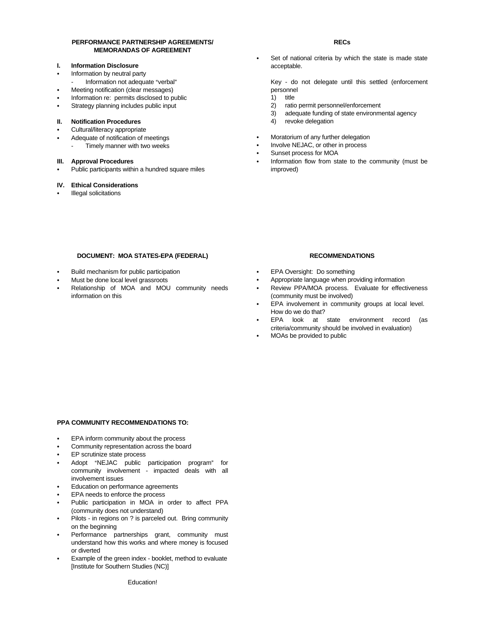#### **PERFORMANCE PARTNERSHIP AGREEMENTS/ MEMORANDAS OF AGREEMENT**

#### **I. Information Disclosure**

- Information by neutral party
- Information not adequate "verbal"
- Meeting notification (clear messages)
- Information re: permits disclosed to public
- Strategy planning includes public input

#### **II. Notification Procedures**

- Cultural/literacy appropriate
- Adequate of notification of meetings
- Timely manner with two weeks

#### **III. Approval Procedures**

Public participants within a hundred square miles

#### **IV. Ethical Considerations**

**Illegal solicitations** 

#### **RECs**

Set of national criteria by which the state is made state acceptable.

Key - do not delegate until this settled (enforcement personnel

- 1) title
- ratio permit personnel/enforcement
- 3) adequate funding of state environmental agency
- 4) revoke delegation
- $\bullet$ Moratorium of any further delegation
- $\bullet$ Involve NEJAC, or other in process
- $\bullet$ Sunset process for MOA
- $\bullet$ Information flow from state to the community (must be improved)

## **DOCUMENT: MOA STATES-EPA (FEDERAL)**

- $\bullet$ Build mechanism for public participation
- $\bullet$ Must be done local level grassroots
- $\bullet$ Relationship of MOA and MOU community needs information on this

#### **RECOMMENDATIONS**

- EPA Oversight: Do something
- Appropriate language when providing information
- Review PPA/MOA process. Evaluate for effectiveness (community must be involved)
- EPA involvement in community groups at local level. How do we do that?
- EPA look at state environment record (as criteria/community should be involved in evaluation)
- MOAs be provided to public

#### **PPA COMMUNITY RECOMMENDATIONS TO:**

- EPA inform community about the process
- Community representation across the board
- EP scrutinize state process
- Adopt "NEJAC public participation program" for community involvement - impacted deals with all involvement issues
- Education on performance agreements
- EPA needs to enforce the process
- Public participation in MOA in order to affect PPA (community does not understand)
- Pilots in regions on ? is parceled out. Bring community on the beginning
- Performance partnerships grant, community must understand how this works and where money is focused or diverted
- Example of the green index booklet, method to evaluate [Institute for Southern Studies (NC)]

Education!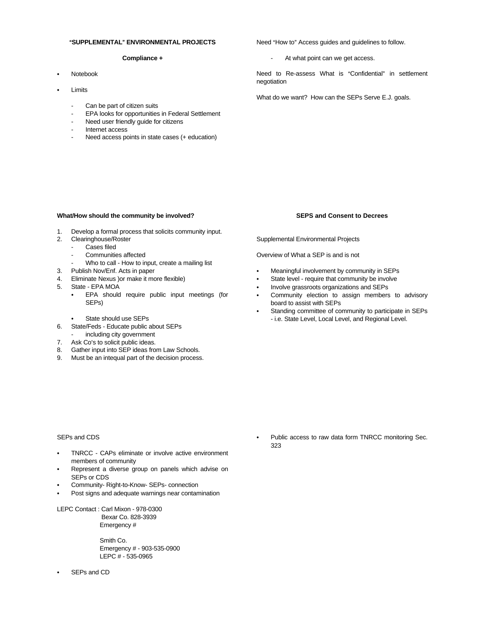#### A**SUPPLEMENTAL**@ **ENVIRONMENTAL PROJECTS**

#### **Compliance +**

- Notebook
- Limits
	- Can be part of citizen suits
	- EPA looks for opportunities in Federal Settlement
	- Need user friendly guide for citizens
	- Internet access
	- Need access points in state cases (+ education)

#### **What/How should the community be involved?**

- 1. Develop a formal process that solicits community input.
- 2. Clearinghouse/Roster
	- Cases filed
		- Communities affected
- Who to call How to input, create a mailing list
- 3. Publish Nov/Enf. Acts in paper
- 4. Eliminate Nexus )or make it more flexible)
- 5. State EPA MOA
	- EPA should require public input meetings (for SEPs)
	- State should use SEPs
- 6. State/Feds Educate public about SEPs
- including city government
- 7. Ask Co's to solicit public ideas.
- 8. Gather input into SEP ideas from Law Schools.
- 9. Must be an intequal part of the decision process.

# **SEPS and Consent to Decrees**

Supplemental Environmental Projects

Overview of What a SEP is and is not

- Meaningful involvement by community in SEPs
- State level require that community be involve
- Involve grassroots organizations and SEPs
- Community election to assign members to advisory board to assist with SEPs
- Standing committee of community to participate in SEPs - i.e. State Level, Local Level, and Regional Level.

#### SEPs and CDS

- TNRCC CAPs eliminate or involve active environment members of community
- Represent a diverse group on panels which advise on SEPs or CDS
- Community- Right-to-Know- SEPs- connection
- Post signs and adequate warnings near contamination

#### LEPC Contact : Carl Mixon - 978-0300 Bexar Co. 828-3939 Emergency #

Smith Co. Emergency # - 903-535-0900 LEPC # - 535-0965

SEPs and CD  $\bullet$ 

Public access to raw data form TNRCC monitoring Sec. 323

negotiation

What do we want? How can the SEPs Serve E.J. goals.

Need to Re-assess What is "Confidential" in settlement

Need "How to" Access guides and guidelines to follow. At what point can we get access.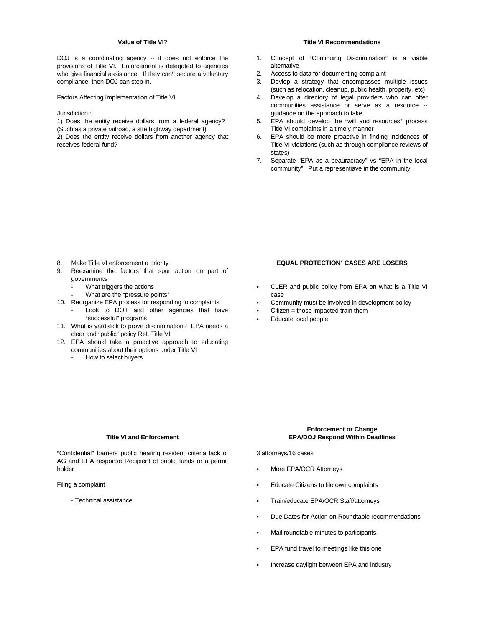#### **Value of Title VI**?

DOJ is a coordinating agency -- it does not enforce the provisions of Title VI. Enforcement is delegated to agencies who give financial assistance. If they can't secure a voluntary compliance, then DOJ can step in.

Factors Affecting Implementation of Title VI

#### Jurisdiction :

1) Does the entity receive dollars from a federal agency? (Such as a private railroad, a stte highway department)

2) Does the entity receive dollars from another agency that receives federal fund?

#### **Title VI Recommendations**

- 1. Concept of "Continuing Discrimination" is a viable alternative
- 2. Access to data for documenting complaint
- 3. Devlop a strategy that encompasses multiple issues (such as relocation, cleanup, public health, property, etc)
- 4. Develop a directory of legal providers who can offer communities assistance or serve as a resource guidance on the approach to take
- 5. EPA should develop the "will and resources" process Title VI complaints in a timely manner
- 6. EPA should be more proactive in finding incidences of Title VI violations (such as through compliance reviews of states)
- 7. Separate "EPA as a beauracracy" vs "EPA in the local community". Put a representiave in the community

- 8. Make Title VI enforcement a priority
- 9. Reexamine the factors that spur action on part of governments
	- What triggers the actions
	- What are the "pressure points"
- 10. Reorganize EPA process for responding to complaints
	- Look to DOT and other agencies that have "successful" programs
- 11. What is yardstick to prove discrimination? EPA needs a clear and "public" policy ReL Title VI
- 12. EPA should take a proactive approach to educating communities about their options under Title VI
	- How to select buyers

#### **Title VI and Enforcement**

"Confidential" barriers public hearing resident criteria lack of AG and EPA response Recipient of public funds or a permit holder

Filing a complaint

- Technical assistance

#### **EQUAL PROTECTION" CASES ARE LOSERS**

- $\bullet$ CLER and public policy from EPA on what is a Title VI case
- $\bullet$ Community must be involved in development policy
- $\bullet$ Citizen = those impacted train them
- $\bullet$ Educate local people

#### **Enforcement or Change EPA/DOJ Respond Within Deadlines**

3 attorneys/16 cases

- More EPA/OCR Attorneys
- Educate Citizens to file own complaints
- Train/educate EPA/OCR Staff/attorneys
- Due Dates for Action on Roundtable recommendations
- Mail roundtable minutes to participants
- EPA fund travel to meetings like this one
- Increase daylight between EPA and industry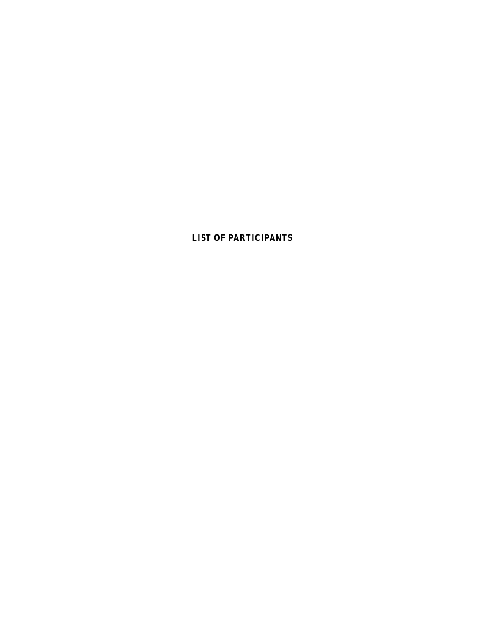# **LIST OF PARTICIPANTS**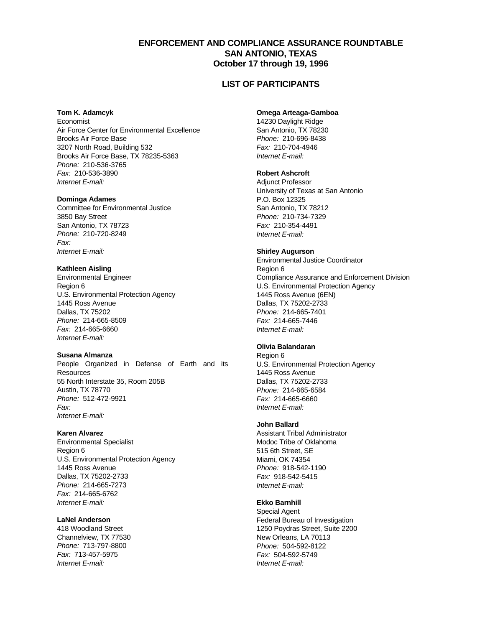# **ENFORCEMENT AND COMPLIANCE ASSURANCE ROUNDTABLE SAN ANTONIO, TEXAS October 17 through 19, 1996**

# **LIST OF PARTICIPANTS**

Economist<br>
Air Force Center for Environmental Excellence<br>
230 San Antonio, TX 78230 Air Force Center for Environmental Excellence Brooks Air Force Base *Phone:* 210-696-8438 3207 North Road, Building 532 *Fax:* 210-704-4946 Brooks Air Force Base, TX 78235-5363 *Internet E-mail: Phone:* 210-536-3765 *Fax:* 210-536-3890 **Robert Ashcroft**  *Internet E-mail:* Adjunct Professor

#### **Dominga Adames** P.O. Box 12325

Committee for Environmental Justice San Antonio, TX 78212 3850 Bay Street *Phone:* 210-734-7329 San Antonio, TX 78723 *Fax:* 210-354-4491 *Phone:* 210-720-8249 *Internet E-mail: Fax: Internet E-mail:* **Shirley Augurson** 

#### **Kathleen Aisling Region 6 Region 6**

U.S. Environmental Protection Agency 1445 Ross Avenue (6EN) 1445 Ross Avenue Dallas, TX 75202-2733 Dallas, TX 75202 *Phone:* 214-665-7401 *Phone:* 214-665-8509 *Fax:* 214-665-6660 *Internet E-mail: Internet E-mail:* 

#### **Susana Almanza Region 6 Region 6 Region 6**

People Organized in Defense of Earth and its U.S. Environmental Protection Agency Resources 1445 Ross Avenue 55 North Interstate 35, Room 205B Dallas, TX 75202-2733 Austin, TX 78770 *Phone:* 214-665-6584 *Phone:* 512-472-9921 *Fax:* 214-665-6660 *Fax: Internet E-mail: Internet E-mail:* 

Environmental Specialist Modoc Tribe of Oklahoma Region 6 515 6th Street, SE U.S. Environmental Protection Agency **Miami, OK 74354** 1445 Ross Avenue *Phone:* 918-542-1190 Dallas, TX 75202-2733 *Fax:* 918-542-5415 *Phone:* 214-665-7273 *Internet E-mail: Fax:* 214-665-6762 *Internet E-mail:* **Ekko Barnhill** 

*Phone:* 713-797-8800 *Phone:* 504-592-8122 *Internet E-mail: Internet E-mail:* 

#### **Tom K. Adamcyk Omega Arteaga-Gamboa**

University of Texas at San Antonio

Environmental Justice Coordinator Environmental Engineer Compliance Assurance and Enforcement Division Region 6 U.S. Environmental Protection Agency

## **Olivia Balandaran**

#### **John Ballard**

**Karen Alvarez** Assistant Tribal Administrator

Special Agent **LaNel Anderson Contract Contract Contract Contract Contract Contract Contract Contract Contract Contract Contract Contract Contract Contract Contract Contract Contract Contract Contract Contract Contract Contract Contra** 418 Woodland Street 1250 Poydras Street, Suite 2200 Channelview, TX 77530 Channelview, TX 77530  $Fax: 504-592-5749$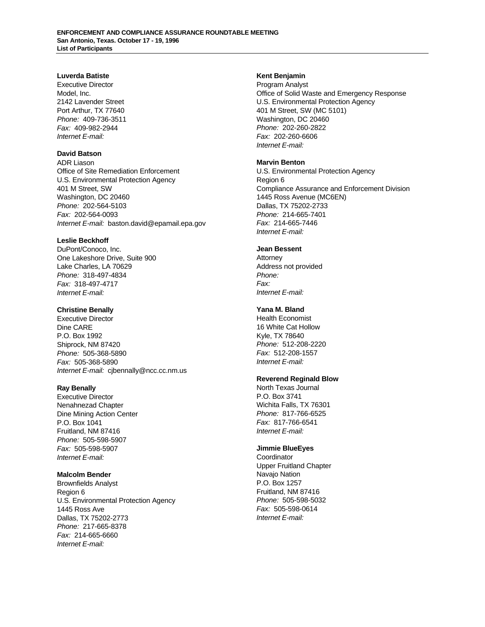#### **Luverda Batiste**

Executive Director Model, Inc. 2142 Lavender Street Port Arthur, TX 77640 *Phone:* 409-736-3511 *Fax:* 409-982-2944 *Internet E-mail:* 

## **David Batson**

ADR Liason Office of Site Remediation Enforcement U.S. Environmental Protection Agency 401 M Street, SW Washington, DC 20460 *Phone:* 202-564-5103 *Fax:* 202-564-0093 *Internet E-mail:* baston.david@epamail.epa.gov

#### **Leslie Beckhoff**

DuPont/Conoco, Inc. One Lakeshore Drive, Suite 900 Lake Charles, LA 70629 *Phone:* 318-497-4834 *Fax:* 318-497-4717 *Internet E-mail:* 

## **Christine Benally**

Executive Director Dine CARE P.O. Box 1992 Shiprock, NM 87420 *Phone:* 505-368-5890 *Fax:* 505-368-5890 *Internet E-mail:* cjbennally@ncc.cc.nm.us

#### **Ray Benally**

Executive Director Nenahnezad Chapter Dine Mining Action Center P.O. Box 1041 Fruitland, NM 87416 *Phone:* 505-598-5907 *Fax:* 505-598-5907 *Internet E-mail:* 

#### **Malcolm Bender**

Brownfields Analyst Region 6 U.S. Environmental Protection Agency 1445 Ross Ave Dallas, TX 75202-2773 *Phone:* 217-665-8378 *Fax:* 214-665-6660 *Internet E-mail:* 

# **Kent Benjamin**

Program Analyst Office of Solid Waste and Emergency Response U.S. Environmental Protection Agency 401 M Street, SW (MC 5101) Washington, DC 20460 *Phone:* 202-260-2822 *Fax:* 202-260-6606 *Internet E-mail:* 

#### **Marvin Benton**

U.S. Environmental Protection Agency Region 6 Compliance Assurance and Enforcement Division 1445 Ross Avenue (MC6EN) Dallas, TX 75202-2733 *Phone:* 214-665-7401 *Fax:* 214-665-7446 *Internet E-mail:* 

## **Jean Bessent**

Attorney Address not provided *Phone: Fax: Internet E-mail:* 

## **Yana M. Bland**

Health Economist 16 White Cat Hollow Kyle, TX 78640 *Phone:* 512-208-2220 *Fax:* 512-208-1557 *Internet E-mail:* 

# **Reverend Reginald Blow**

North Texas Journal P.O. Box 3741 Wichita Falls, TX 76301 *Phone:* 817-766-6525 *Fax:* 817-766-6541 *Internet E-mail:* 

## **Jimmie BlueEyes**

**Coordinator** Upper Fruitland Chapter Navajo Nation P.O. Box 1257 Fruitland, NM 87416 *Phone:* 505-598-5032 *Fax:* 505-598-0614 *Internet E-mail:*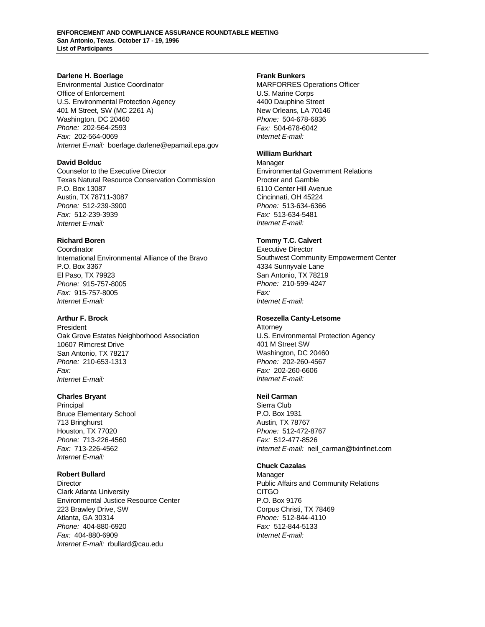#### **Darlene H. Boerlage**

Environmental Justice Coordinator Office of Enforcement U.S. Environmental Protection Agency 401 M Street, SW (MC 2261 A) Washington, DC 20460 *Phone:* 202-564-2593 *Fax:* 202-564-0069 *Internet E-mail:* boerlage.darlene@epamail.epa.gov

## **David Bolduc**

Counselor to the Executive Director Texas Natural Resource Conservation Commission P.O. Box 13087 Austin, TX 78711-3087 *Phone:* 512-239-3900 *Fax:* 512-239-3939 *Internet E-mail:* 

# **Richard Boren**

Coordinator International Environmental Alliance of the Bravo P.O. Box 3367 El Paso, TX 79923 *Phone:* 915-757-8005 *Fax:* 915-757-8005 *Internet E-mail:* 

# **Arthur F. Brock**

President Oak Grove Estates Neighborhood Association 10607 Rimcrest Drive San Antonio, TX 78217 *Phone:* 210-653-1313 *Fax: Internet E-mail:* 

# **Charles Bryant**

Principal Bruce Elementary School 713 Bringhurst Houston, TX 77020 *Phone:* 713-226-4560 *Fax:* 713-226-4562 *Internet E-mail:* 

# **Robert Bullard**

**Director** Clark Atlanta University Environmental Justice Resource Center 223 Brawley Drive, SW Atlanta, GA 30314 *Phone:* 404-880-6920 *Fax:* 404-880-6909 *Internet E-mail:* rbullard@cau.edu

# **Frank Bunkers**

MARFORRES Operations Officer U.S. Marine Corps 4400 Dauphine Street New Orleans, LA 70146 *Phone:* 504-678-6836 *Fax:* 504-678-6042 *Internet E-mail:* 

## **William Burkhart**

**Manager** Environmental Government Relations Procter and Gamble 6110 Center Hill Avenue Cincinnati, OH 45224 *Phone:* 513-634-6366 *Fax:* 513-634-5481 *Internet E-mail:* 

## **Tommy T.C. Calvert**

Executive Director Southwest Community Empowerment Center 4334 Sunnyvale Lane San Antonio, TX 78219 *Phone:* 210-599-4247 *Fax: Internet E-mail:* 

# **Rosezella Canty-Letsome**

**Attorney** U.S. Environmental Protection Agency 401 M Street SW Washington, DC 20460 *Phone:* 202-260-4567 *Fax:* 202-260-6606 *Internet E-mail:* 

# **Neil Carman**

Sierra Club P.O. Box 1931 Austin, TX 78767 *Phone:* 512-472-8767 *Fax:* 512-477-8526 *Internet E-mail:* neil\_carman@txinfinet.com

# **Chuck Cazalas**

Manager Public Affairs and Community Relations **CITGO** P.O. Box 9176 Corpus Christi, TX 78469 *Phone:* 512-844-4110 *Fax:* 512-844-5133 *Internet E-mail:*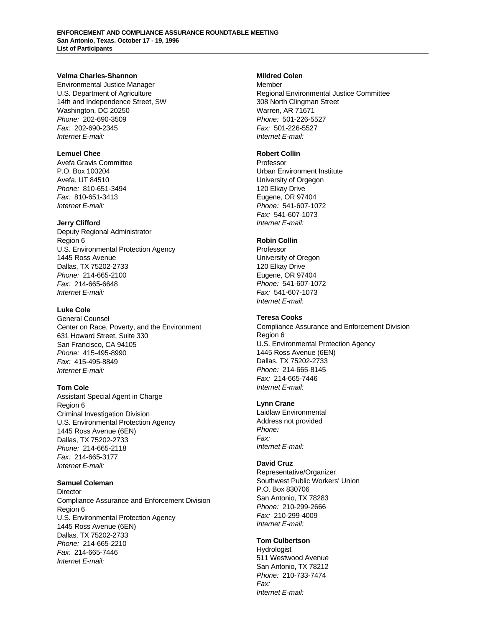#### **Velma Charles-Shannon**

Environmental Justice Manager U.S. Department of Agriculture 14th and Independence Street, SW Washington, DC 20250 *Phone:* 202-690-3509 *Fax:* 202-690-2345 *Internet E-mail:* 

## **Lemuel Chee**

Avefa Gravis Committee P.O. Box 100204 Avefa, UT 84510 *Phone:* 810-651-3494 *Fax:* 810-651-3413 *Internet E-mail:* 

#### **Jerry Clifford**

Deputy Regional Administrator Region 6 U.S. Environmental Protection Agency 1445 Ross Avenue Dallas, TX 75202-2733 *Phone:* 214-665-2100 *Fax:* 214-665-6648 *Internet E-mail:* 

# **Luke Cole**

General Counsel Center on Race, Poverty, and the Environment 631 Howard Street, Suite 330 San Francisco, CA 94105 *Phone:* 415-495-8990 *Fax:* 415-495-8849 *Internet E-mail:* 

## **Tom Cole**

Assistant Special Agent in Charge Region 6 Criminal Investigation Division U.S. Environmental Protection Agency 1445 Ross Avenue (6EN) Dallas, TX 75202-2733 *Phone:* 214-665-2118 *Fax:* 214-665-3177 *Internet E-mail:* 

### **Samuel Coleman**

**Director** Compliance Assurance and Enforcement Division Region 6 U.S. Environmental Protection Agency 1445 Ross Avenue (6EN) Dallas, TX 75202-2733 *Phone:* 214-665-2210 *Fax:* 214-665-7446 *Internet E-mail:* 

## **Mildred Colen**

Member Regional Environmental Justice Committee 308 North Clingman Street Warren, AR 71671 *Phone:* 501-226-5527 *Fax:* 501-226-5527 *Internet E-mail:* 

## **Robert Collin**

Professor Urban Environment Institute University of Orgegon 120 Elkay Drive Eugene, OR 97404 *Phone:* 541-607-1072 *Fax:* 541-607-1073 *Internet E-mail:* 

#### **Robin Collin**

Professor University of Oregon 120 Elkay Drive Eugene, OR 97404 *Phone:* 541-607-1072 *Fax:* 541-607-1073 *Internet E-mail:* 

## **Teresa Cooks**

Compliance Assurance and Enforcement Division Region 6 U.S. Environmental Protection Agency 1445 Ross Avenue (6EN) Dallas, TX 75202-2733 *Phone:* 214-665-8145 *Fax:* 214-665-7446 *Internet E-mail:* 

#### **Lynn Crane**

Laidlaw Environmental Address not provided *Phone: Fax: Internet E-mail:* 

#### **David Cruz**

Representative/Organizer Southwest Public Workers' Union P.O. Box 830706 San Antonio, TX 78283 *Phone:* 210-299-2666 *Fax:* 210-299-4009 *Internet E-mail:* 

#### **Tom Culbertson**

Hydrologist 511 Westwood Avenue San Antonio, TX 78212 *Phone:* 210-733-7474 *Fax: Internet E-mail:*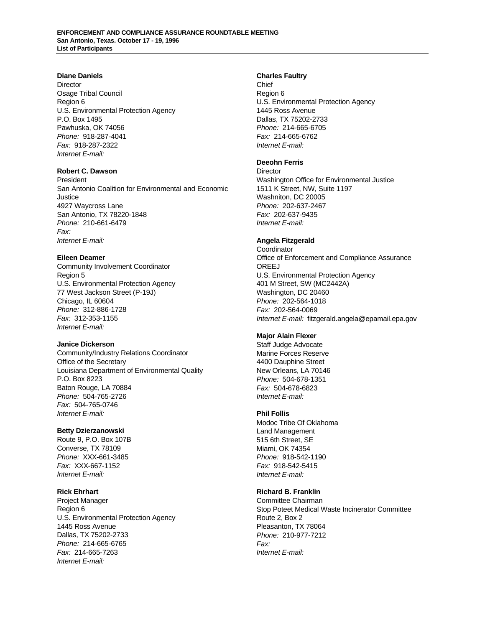#### **Diane Daniels**

**Director** Osage Tribal Council Region 6 U.S. Environmental Protection Agency P.O. Box 1495 Pawhuska, OK 74056 *Phone:* 918-287-4041 *Fax:* 918-287-2322 *Internet E-mail:* 

# **Robert C. Dawson**

President San Antonio Coalition for Environmental and Economic Justice 4927 Waycross Lane San Antonio, TX 78220-1848 *Phone:* 210-661-6479 *Fax: Internet E-mail:* 

#### **Eileen Deamer**

Community Involvement Coordinator Region 5 U.S. Environmental Protection Agency 77 West Jackson Street (P-19J) Chicago, IL 60604 *Phone:* 312-886-1728 *Fax:* 312-353-1155 *Internet E-mail:* 

#### **Janice Dickerson**

Community/Industry Relations Coordinator Office of the Secretary Louisiana Department of Environmental Quality P.O. Box 8223 Baton Rouge, LA 70884 *Phone:* 504-765-2726 *Fax:* 504-765-0746 *Internet E-mail:* 

#### **Betty Dzierzanowski**

Route 9, P.O. Box 107B Converse, TX 78109 *Phone:* XXX-661-3485 *Fax:* XXX-667-1152 *Internet E-mail:* 

#### **Rick Ehrhart**

Project Manager Region 6 U.S. Environmental Protection Agency 1445 Ross Avenue Dallas, TX 75202-2733 *Phone:* 214-665-6765 *Fax:* 214-665-7263 *Internet E-mail:* 

#### **Charles Faultry**

Chief Region 6 U.S. Environmental Protection Agency 1445 Ross Avenue Dallas, TX 75202-2733 *Phone:* 214-665-6705 *Fax:* 214-665-6762 *Internet E-mail:* 

## **Deeohn Ferris**

**Director** Washington Office for Environmental Justice 1511 K Street, NW, Suite 1197 Washniton, DC 20005 *Phone:* 202-637-2467 *Fax:* 202-637-9435 *Internet E-mail:* 

#### **Angela Fitzgerald**

**Coordinator** Office of Enforcement and Compliance Assurance **OREEJ** U.S. Environmental Protection Agency 401 M Street, SW (MC2442A) Washington, DC 20460 *Phone:* 202-564-1018 *Fax:* 202-564-0069 *Internet E-mail:* fitzgerald.angela@epamail.epa.gov

## **Major Alain Flexer**

Staff Judge Advocate Marine Forces Reserve 4400 Dauphine Street New Orleans, LA 70146 *Phone:* 504-678-1351 *Fax:* 504-678-6823 *Internet E-mail:* 

#### **Phil Follis**

Modoc Tribe Of Oklahoma Land Management 515 6th Street, SE Miami, OK 74354 *Phone:* 918-542-1190 *Fax:* 918-542-5415 *Internet E-mail:* 

#### **Richard B. Franklin**

Committee Chairman Stop Poteet Medical Waste Incinerator Committee Route 2, Box 2 Pleasanton, TX 78064 *Phone:* 210-977-7212 *Fax: Internet E-mail:*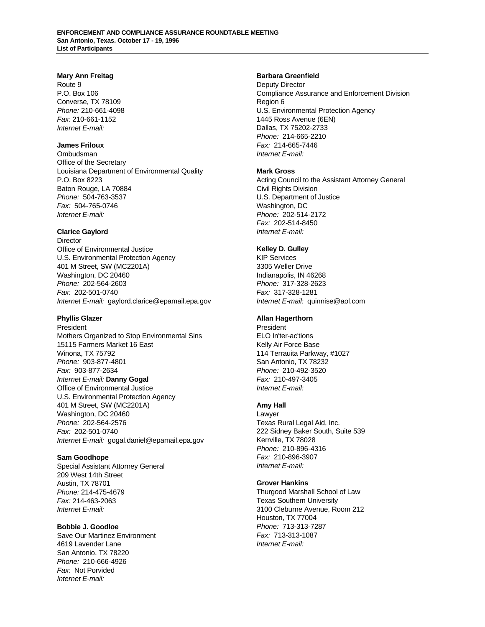#### **Mary Ann Freitag**

Route 9 P.O. Box 106 Converse, TX 78109 *Phone:* 210-661-4098 *Fax:* 210-661-1152 *Internet E-mail:* 

# **James Friloux**

Ombudsman Office of the Secretary Louisiana Department of Environmental Quality P.O. Box 8223 Baton Rouge, LA 70884 *Phone:* 504-763-3537 *Fax:* 504-765-0746 *Internet E-mail:* 

# **Clarice Gaylord**

**Director** Office of Environmental Justice U.S. Environmental Protection Agency 401 M Street, SW (MC2201A) Washington, DC 20460 *Phone:* 202-564-2603 *Fax:* 202-501-0740 *Internet E-mail:* gaylord.clarice@epamail.epa.gov

# **Phyllis Glazer**

President Mothers Organized to Stop Environmental Sins 15115 Farmers Market 16 East Winona, TX 75792 *Phone:* 903-877-4801 *Fax:* 903-877-2634 *Internet E-mail:* **Danny Gogal**  Office of Environmental Justice U.S. Environmental Protection Agency 401 M Street, SW (MC2201A) Washington, DC 20460 *Phone:* 202-564-2576 *Fax:* 202-501-0740 *Internet E-mail:* gogal.daniel@epamail.epa.gov

# **Sam Goodhope**

Special Assistant Attorney General 209 West 14th Street Austin, TX 78701 *Phone:* 214-475-4679 *Fax:* 214-463-2063 *Internet E-mail:* 

# **Bobbie J. Goodloe**

Save Our Martinez Environment 4619 Lavender Lane San Antonio, TX 78220 *Phone:* 210-666-4926 *Fax:* Not Porvided *Internet E-mail:* 

## **Barbara Greenfield**

Deputy Director Compliance Assurance and Enforcement Division Region 6 U.S. Environmental Protection Agency 1445 Ross Avenue (6EN) Dallas, TX 75202-2733 *Phone:* 214-665-2210 *Fax:* 214-665-7446 *Internet E-mail:* 

## **Mark Gross**

Acting Council to the Assistant Attorney General Civil Rights Division U.S. Department of Justice Washington, DC *Phone:* 202-514-2172 *Fax:* 202-514-8450 *Internet E-mail:* 

# **Kelley D. Gulley**

KIP Services 3305 Weller Drive Indianapolis, IN 46268 *Phone:* 317-328-2623 *Fax:* 317-328-1281 *Internet E-mail:* quinnise@aol.com

# **Allan Hagerthorn**

President ELO In'ter-ac'tions Kelly Air Force Base 114 Terrauita Parkway, #1027 San Antonio, TX 78232 *Phone:* 210-492-3520 *Fax:* 210-497-3405 *Internet E-mail:* 

# **Amy Hall**

Lawyer Texas Rural Legal Aid, Inc. 222 Sidney Baker South, Suite 539 Kerrville, TX 78028 *Phone:* 210-896-4316 *Fax:* 210-896-3907 *Internet E-mail:* 

# **Grover Hankins**

Thurgood Marshall School of Law Texas Southern University 3100 Cleburne Avenue, Room 212 Houston, TX 77004 *Phone:* 713-313-7287 *Fax:* 713-313-1087 *Internet E-mail:*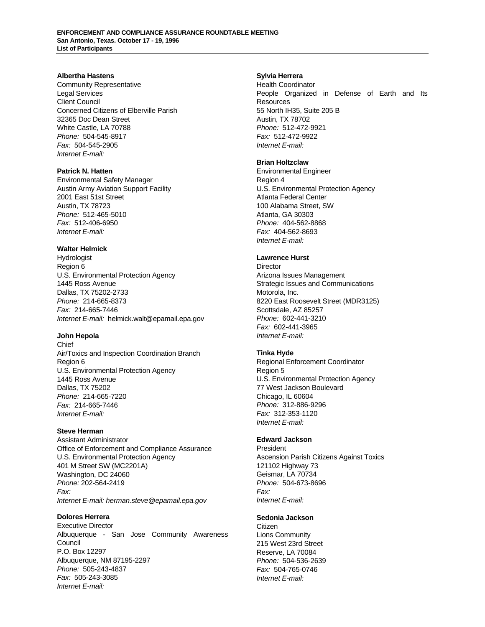#### **Albertha Hastens**

Community Representative Legal Services Client Council Concerned Citizens of Elberville Parish 32365 Doc Dean Street White Castle, LA 70788 *Phone:* 504-545-8917 *Fax:* 504-545-2905 *Internet E-mail:* 

#### **Patrick N. Hatten**

Environmental Safety Manager Austin Army Aviation Support Facility 2001 East 51st Street Austin, TX 78723 *Phone:* 512-465-5010 *Fax:* 512-406-6950 *Internet E-mail:* 

#### **Walter Helmick**

Hydrologist Region 6 U.S. Environmental Protection Agency 1445 Ross Avenue Dallas, TX 75202-2733 *Phone:* 214-665-8373 *Fax:* 214-665-7446 *Internet E-mail:* helmick.walt@epamail.epa.gov

#### **John Hepola**

Chief Air/Toxics and Inspection Coordination Branch Region 6 U.S. Environmental Protection Agency 1445 Ross Avenue Dallas, TX 75202 *Phone:* 214-665-7220 *Fax:* 214-665-7446 *Internet E-mail:* 

#### **Steve Herman**

Assistant Administrator Office of Enforcement and Compliance Assurance U.S. Environmental Protection Agency 401 M Street SW (MC2201A) Washington, DC 24060 *Phone:* 202-564-2419 *Fax: Internet E-mail: herman.steve@epamail.epa.gov* 

#### **Dolores Herrera**

Executive Director Albuquerque - San Jose Community Awareness Council P.O. Box 12297 Albuquerque, NM 87195-2297 *Phone:* 505-243-4837 *Fax:* 505-243-3085 *Internet E-mail:* 

#### **Sylvia Herrera**

Health Coordinator People Organized in Defense of Earth and Its **Resources** 55 North IH35, Suite 205 B Austin, TX 78702 *Phone:* 512-472-9921 *Fax:* 512-472-9922 *Internet E-mail:* 

#### **Brian Holtzclaw**

Environmental Engineer Region 4 U.S. Environmental Protection Agency Atlanta Federal Center 100 Alabama Street, SW Atlanta, GA 30303 *Phone:* 404-562-8868 *Fax:* 404-562-8693 *Internet E-mail:* 

#### **Lawrence Hurst**

**Director** Arizona Issues Management Strategic Issues and Communications Motorola, Inc. 8220 East Roosevelt Street (MDR3125) Scottsdale, AZ 85257 *Phone:* 602-441-3210 *Fax:* 602-441-3965 *Internet E-mail:* 

#### **Tinka Hyde**

Regional Enforcement Coordinator Region 5 U.S. Environmental Protection Agency 77 West Jackson Boulevard Chicago, IL 60604 *Phone:* 312-886-9296 *Fax:* 312-353-1120 *Internet E-mail:* 

#### **Edward Jackson**

President Ascension Parish Citizens Against Toxics 121102 Highway 73 Geismar, LA 70734 *Phone:* 504-673-8696 *Fax: Internet E-mail:* 

#### **Sedonia Jackson**

Citizen Lions Community 215 West 23rd Street Reserve, LA 70084 *Phone:* 504-536-2639 *Fax:* 504-765-0746 *Internet E-mail:*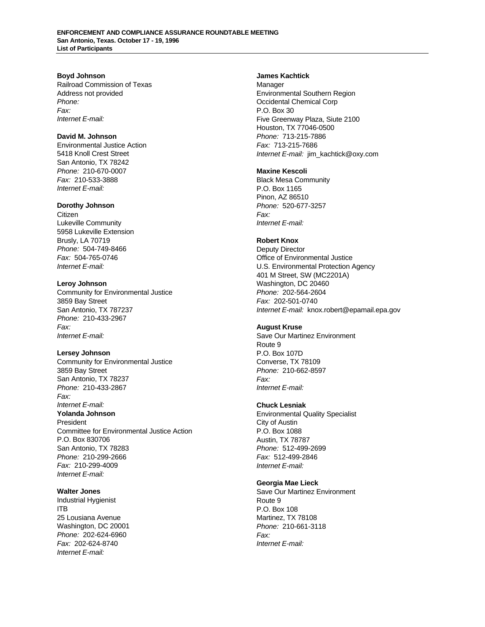#### **Boyd Johnson**

Railroad Commission of Texas Address not provided *Phone: Fax: Internet E-mail:* 

# **David M. Johnson**

Environmental Justice Action 5418 Knoll Crest Street San Antonio, TX 78242 *Phone:* 210-670-0007 *Fax:* 210-533-3888 *Internet E-mail:* 

#### **Dorothy Johnson**

Citizen Lukeville Community 5958 Lukeville Extension Brusly, LA 70719 *Phone:* 504-749-8466 *Fax:* 504-765-0746 *Internet E-mail:* 

#### **Leroy Johnson**

Community for Environmental Justice 3859 Bay Street San Antonio, TX 787237 *Phone:* 210-433-2967 *Fax: Internet E-mail:* 

#### **Lersey Johnson**

Community for Environmental Justice 3859 Bay Street San Antonio, TX 78237 *Phone:* 210-433-2867 *Fax: Internet E-mail:*  **Yolanda Johnson**  President Committee for Environmental Justice Action P.O. Box 830706 San Antonio, TX 78283 *Phone:* 210-299-2666 *Fax:* 210-299-4009 *Internet E-mail:* 

#### **Walter Jones**

Industrial Hygienist ITB 25 Lousiana Avenue Washington, DC 20001 *Phone:* 202-624-6960 *Fax:* 202-624-8740 *Internet E-mail:* 

# **James Kachtick**

Manager Environmental Southern Region Occidental Chemical Corp P.O. Box 30 Five Greenway Plaza, Siute 2100 Houston, TX 77046-0500 *Phone:* 713-215-7886 *Fax:* 713-215-7686 *Internet E-mail:* jim\_kachtick@oxy.com

#### **Maxine Kescoli**

Black Mesa Community P.O. Box 1165 Pinon, AZ 86510 *Phone:* 520-677-3257 *Fax: Internet E-mail:* 

#### **Robert Knox**

Deputy Director Office of Environmental Justice U.S. Environmental Protection Agency 401 M Street, SW (MC2201A) Washington, DC 20460 *Phone:* 202-564-2604 *Fax:* 202-501-0740 *Internet E-mail:* knox.robert@epamail.epa.gov

#### **August Kruse**

Save Our Martinez Environment Route 9 P.O. Box 107D Converse, TX 78109 *Phone:* 210-662-8597 *Fax: Internet E-mail:* 

### **Chuck Lesniak**

Environmental Quality Specialist City of Austin P.O. Box 1088 Austin, TX 78787 *Phone:* 512-499-2699 *Fax:* 512-499-2846 *Internet E-mail:* 

# **Georgia Mae Lieck**

Save Our Martinez Environment Route 9 P.O. Box 108 Martinez, TX 78108 *Phone:* 210-661-3118 *Fax: Internet E-mail:*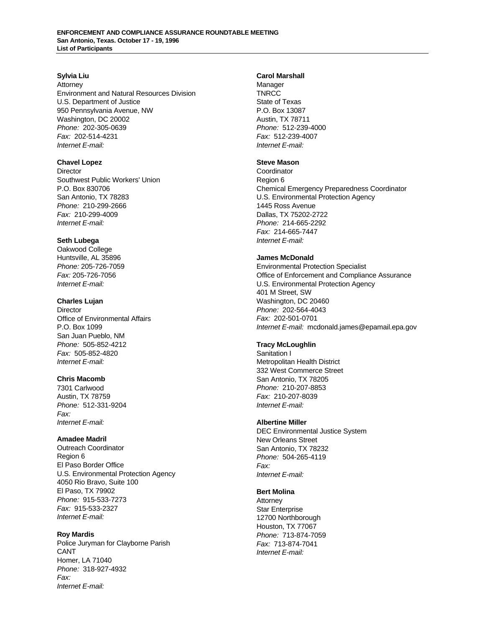#### **Sylvia Liu**

Attorney Environment and Natural Resources Division U.S. Department of Justice 950 Pennsylvania Avenue, NW Washington, DC 20002 *Phone:* 202-305-0639 *Fax:* 202-514-4231 *Internet E-mail:* 

#### **Chavel Lopez**

**Director** Southwest Public Workers' Union P.O. Box 830706 San Antonio, TX 78283 *Phone:* 210-299-2666 *Fax:* 210-299-4009 *Internet E-mail:* 

#### **Seth Lubega**

Oakwood College Huntsville, AL 35896 *Phone:* 205-726-7059 *Fax:* 205-726-7056 *Internet E-mail:* 

#### **Charles Lujan**

**Director** Office of Environmental Affairs P.O. Box 1099 San Juan Pueblo, NM *Phone:* 505-852-4212 *Fax:* 505-852-4820 *Internet E-mail:* 

## **Chris Macomb**

7301 Carlwood Austin, TX 78759 *Phone:* 512-331-9204 *Fax: Internet E-mail:* 

#### **Amadee Madril**

Outreach Coordinator Region 6 El Paso Border Office U.S. Environmental Protection Agency 4050 Rio Bravo, Suite 100 El Paso, TX 79902 *Phone:* 915-533-7273 *Fax:* 915-533-2327 *Internet E-mail:* 

#### **Roy Mardis**

Police Juryman for Clayborne Parish CANT Homer, LA 71040 *Phone:* 318-927-4932 *Fax: Internet E-mail:* 

# **Carol Marshall**

Manager **TNRCC** State of Texas P.O. Box 13087 Austin, TX 78711 *Phone:* 512-239-4000 *Fax:* 512-239-4007 *Internet E-mail:* 

#### **Steve Mason**

**Coordinator** Region 6 Chemical Emergency Preparedness Coordinator U.S. Environmental Protection Agency 1445 Ross Avenue Dallas, TX 75202-2722 *Phone:* 214-665-2292 *Fax:* 214-665-7447 *Internet E-mail:* 

## **James McDonald**

Environmental Protection Specialist Office of Enforcement and Compliance Assurance U.S. Environmental Protection Agency 401 M Street, SW Washington, DC 20460 *Phone:* 202-564-4043 *Fax:* 202-501-0701 *Internet E-mail:* mcdonald.james@epamail.epa.gov

#### **Tracy McLoughlin**

Sanitation I Metropolitan Health District 332 West Commerce Street San Antonio, TX 78205 *Phone:* 210-207-8853 *Fax:* 210-207-8039 *Internet E-mail:* 

#### **Albertine Miller**

DEC Environmental Justice System New Orleans Street San Antonio, TX 78232 *Phone:* 504-265-4119 *Fax: Internet E-mail:* 

#### **Bert Molina**

**Attorney** Star Enterprise 12700 Northborough Houston, TX 77067 *Phone:* 713-874-7059 *Fax:* 713-874-7041 *Internet E-mail:*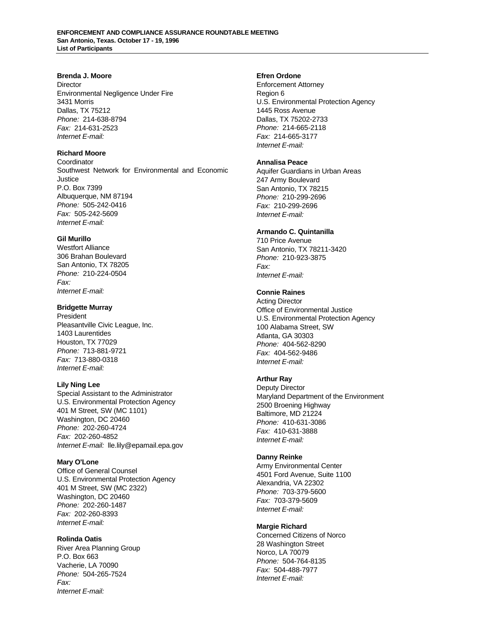#### **Brenda J. Moore**

**Director** Environmental Negligence Under Fire 3431 Morris Dallas, TX 75212 *Phone:* 214-638-8794 *Fax:* 214-631-2523 *Internet E-mail:* 

## **Richard Moore**

Coordinator Southwest Network for Environmental and Economic Justice P.O. Box 7399 Albuquerque, NM 87194 *Phone:* 505-242-0416 *Fax:* 505-242-5609 *Internet E-mail:* 

#### **Gil Murillo**

Westfort Alliance 306 Brahan Boulevard San Antonio, TX 78205 *Phone:* 210-224-0504 *Fax: Internet E-mail:* 

## **Bridgette Murray**

President Pleasantville Civic League, Inc. 1403 Laurentides Houston, TX 77029 *Phone:* 713-881-9721 *Fax:* 713-880-0318 *Internet E-mail:* 

#### **Lily Ning Lee**

Special Assistant to the Administrator U.S. Environmental Protection Agency 401 M Street, SW (MC 1101) Washington, DC 20460 *Phone:* 202-260-4724 *Fax:* 202-260-4852 *Internet E-mail:* lle.lily@epamail.epa.gov

#### **Mary O'Lone**

Office of General Counsel U.S. Environmental Protection Agency 401 M Street, SW (MC 2322) Washington, DC 20460 *Phone:* 202-260-1487 *Fax:* 202-260-8393 *Internet E-mail:* 

#### **Rolinda Oatis**

River Area Planning Group P.O. Box 663 Vacherie, LA 70090 *Phone:* 504-265-7524 *Fax: Internet E-mail:* 

# **Efren Ordone**

Enforcement Attorney Region 6 U.S. Environmental Protection Agency 1445 Ross Avenue Dallas, TX 75202-2733 *Phone:* 214-665-2118 *Fax:* 214-665-3177 *Internet E-mail:* 

#### **Annalisa Peace**

Aquifer Guardians in Urban Areas 247 Army Boulevard San Antonio, TX 78215 *Phone:* 210-299-2696 *Fax:* 210-299-2696 *Internet E-mail:* 

#### **Armando C. Quintanilla**

710 Price Avenue San Antonio, TX 78211-3420 *Phone:* 210-923-3875 *Fax: Internet E-mail:* 

#### **Connie Raines**

Acting Director Office of Environmental Justice U.S. Environmental Protection Agency 100 Alabama Street, SW Atlanta, GA 30303 *Phone:* 404-562-8290 *Fax:* 404-562-9486 *Internet E-mail:* 

## **Arthur Ray**

Deputy Director Maryland Department of the Environment 2500 Broening Highway Baltimore, MD 21224 *Phone:* 410-631-3086 *Fax:* 410-631-3888 *Internet E-mail:* 

#### **Danny Reinke**

Army Environmental Center 4501 Ford Avenue, Suite 1100 Alexandria, VA 22302 *Phone:* 703-379-5600 *Fax:* 703-379-5609 *Internet E-mail:* 

#### **Margie Richard**

Concerned Citizens of Norco 28 Washington Street Norco, LA 70079 *Phone:* 504-764-8135 *Fax:* 504-488-7977 *Internet E-mail:*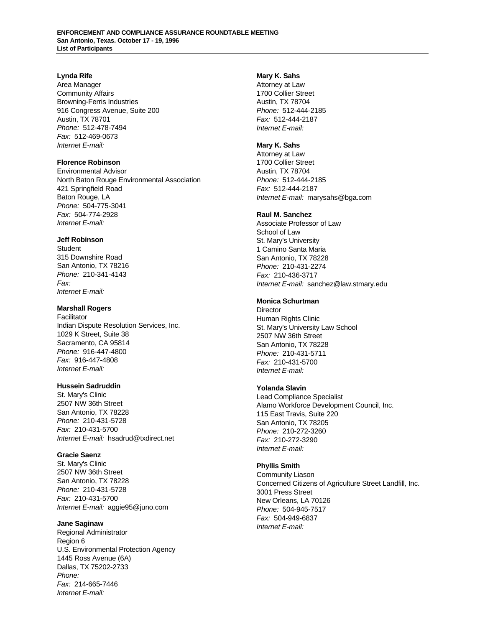#### **Lynda Rife**

Area Manager Community Affairs Browning-Ferris Industries 916 Congress Avenue, Suite 200 Austin, TX 78701 *Phone:* 512-478-7494 *Fax:* 512-469-0673 *Internet E-mail:* 

# **Florence Robinson**

Environmental Advisor North Baton Rouge Environmental Association 421 Springfield Road Baton Rouge, LA *Phone:* 504-775-3041 *Fax:* 504-774-2928 *Internet E-mail:* 

## **Jeff Robinson**

**Student** 315 Downshire Road San Antonio, TX 78216 *Phone:* 210-341-4143 *Fax: Internet E-mail:* 

## **Marshall Rogers**

**Facilitator** Indian Dispute Resolution Services, Inc. 1029 K Street, Suite 38 Sacramento, CA 95814 *Phone:* 916-447-4800 *Fax:* 916-447-4808 *Internet E-mail:* 

#### **Hussein Sadruddin**

St. Mary's Clinic 2507 NW 36th Street San Antonio, TX 78228 *Phone:* 210-431-5728 *Fax:* 210-431-5700 *Internet E-mail:* hsadrud@txdirect.net

# **Gracie Saenz**

St. Mary's Clinic 2507 NW 36th Street San Antonio, TX 78228 *Phone:* 210-431-5728 *Fax:* 210-431-5700 *Internet E-mail:* aggie95@juno.com

# **Jane Saginaw**

Regional Administrator Region 6 U.S. Environmental Protection Agency 1445 Ross Avenue (6A) Dallas, TX 75202-2733 *Phone: Fax:* 214-665-7446 *Internet E-mail:* 

# **Mary K. Sahs**

Attorney at Law 1700 Collier Street Austin, TX 78704 *Phone:* 512-444-2185 *Fax:* 512-444-2187 *Internet E-mail:* 

# **Mary K. Sahs**

Attorney at Law 1700 Collier Street Austin, TX 78704 *Phone:* 512-444-2185 *Fax:* 512-444-2187 *Internet E-mail:* marysahs@bga.com

## **Raul M. Sanchez**

Associate Professor of Law School of Law St. Mary's University 1 Camino Santa Maria San Antonio, TX 78228 *Phone:* 210-431-2274 *Fax:* 210-436-3717 *Internet E-mail:* sanchez@law.stmary.edu

## **Monica Schurtman**

**Director** Human Rights Clinic St. Mary's University Law School 2507 NW 36th Street San Antonio, TX 78228 *Phone:* 210-431-5711 *Fax:* 210-431-5700 *Internet E-mail:* 

## **Yolanda Slavin**

Lead Compliance Specialist Alamo Workforce Development Council, Inc. 115 East Travis, Suite 220 San Antonio, TX 78205 *Phone:* 210-272-3260 *Fax:* 210-272-3290 *Internet E-mail:* 

# **Phyllis Smith**

Community Liason Concerned Citizens of Agriculture Street Landfill, Inc. 3001 Press Street New Orleans, LA 70126 *Phone:* 504-945-7517 *Fax:* 504-949-6837 *Internet E-mail:*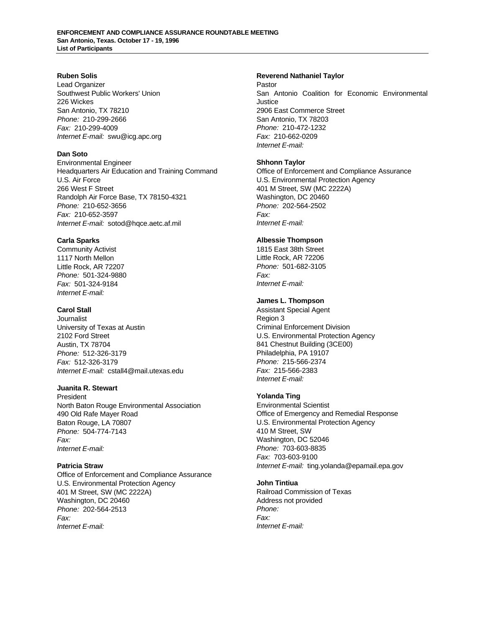#### **Ruben Solis**

Lead Organizer Southwest Public Workers' Union 226 Wickes San Antonio, TX 78210 *Phone:* 210-299-2666 *Fax:* 210-299-4009 *Internet E-mail:* swu@icg.apc.org

## **Dan Soto**

Environmental Engineer Headquarters Air Education and Training Command U.S. Air Force 266 West F Street Randolph Air Force Base, TX 78150-4321 *Phone:* 210-652-3656 *Fax:* 210-652-3597 *Internet E-mail:* sotod@hqce.aetc.af.mil

# **Carla Sparks**

Community Activist 1117 North Mellon Little Rock, AR 72207 *Phone:* 501-324-9880 *Fax:* 501-324-9184 *Internet E-mail:* 

# **Carol Stall**

Journalist University of Texas at Austin 2102 Ford Street Austin, TX 78704 *Phone:* 512-326-3179 *Fax:* 512-326-3179 *Internet E-mail:* cstall4@mail.utexas.edu

## **Juanita R. Stewart**

President North Baton Rouge Environmental Association 490 Old Rafe Mayer Road Baton Rouge, LA 70807 *Phone:* 504-774-7143 *Fax: Internet E-mail:* 

# **Patricia Straw**

Office of Enforcement and Compliance Assurance U.S. Environmental Protection Agency 401 M Street, SW (MC 2222A) Washington, DC 20460 *Phone:* 202-564-2513 *Fax: Internet E-mail:* 

## **Reverend Nathaniel Taylor**

Pastor San Antonio Coalition for Economic Environmental Justice 2906 East Commerce Street San Antonio, TX 78203 *Phone:* 210-472-1232 *Fax:* 210-662-0209 *Internet E-mail:* 

## **Shhonn Taylor**

Office of Enforcement and Compliance Assurance U.S. Environmental Protection Agency 401 M Street, SW (MC 2222A) Washington, DC 20460 *Phone:* 202-564-2502 *Fax: Internet E-mail:* 

# **Albessie Thompson**

1815 East 38th Street Little Rock, AR 72206 *Phone:* 501-682-3105 *Fax: Internet E-mail:* 

# **James L. Thompson**

Assistant Special Agent Region 3 Criminal Enforcement Division U.S. Environmental Protection Agency 841 Chestnut Building (3CE00) Philadelphia, PA 19107 *Phone:* 215-566-2374 *Fax:* 215-566-2383 *Internet E-mail:* 

# **Yolanda Ting**

Environmental Scientist Office of Emergency and Remedial Response U.S. Environmental Protection Agency 410 M Street, SW Washington, DC 52046 *Phone:* 703-603-8835 *Fax:* 703-603-9100 *Internet E-mail:* ting.yolanda@epamail.epa.gov

# **John Tintiua**

Railroad Commission of Texas Address not provided *Phone: Fax: Internet E-mail:*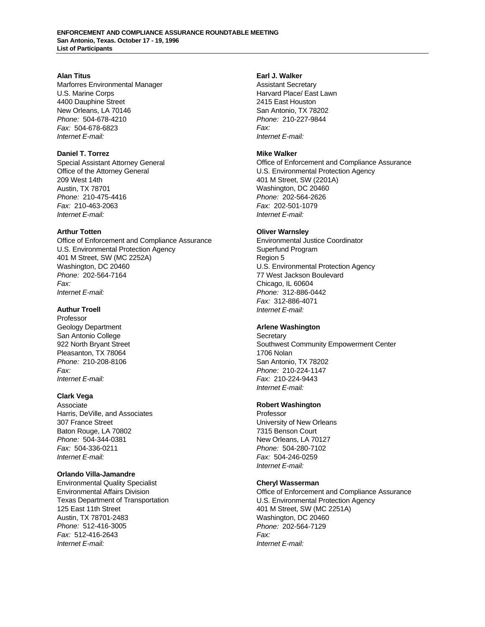#### **Alan Titus**

Marforres Environmental Manager U.S. Marine Corps 4400 Dauphine Street New Orleans, LA 70146 *Phone:* 504-678-4210 *Fax:* 504-678-6823 *Internet E-mail:* 

## **Daniel T. Torrez**

Special Assistant Attorney General Office of the Attorney General 209 West 14th Austin, TX 78701 *Phone:* 210-475-4416 *Fax:* 210-463-2063 *Internet E-mail:* 

#### **Arthur Totten**

Office of Enforcement and Compliance Assurance U.S. Environmental Protection Agency 401 M Street, SW (MC 2252A) Washington, DC 20460 *Phone:* 202-564-7164 *Fax: Internet E-mail:* 

#### **Authur Troell**

Professor Geology Department San Antonio College 922 North Bryant Street Pleasanton, TX 78064 *Phone:* 210-208-8106 *Fax: Internet E-mail:* 

#### **Clark Vega**

Associate Harris, DeVille, and Associates 307 France Street Baton Rouge, LA 70802 *Phone:* 504-344-0381 *Fax:* 504-336-0211 *Internet E-mail:* 

#### **Orlando Villa-Jamandre**

Environmental Quality Specialist Environmental Affairs Division Texas Department of Transportation 125 East 11th Street Austin, TX 78701-2483 *Phone:* 512-416-3005 *Fax:* 512-416-2643 *Internet E-mail:* 

# **Earl J. Walker**

Assistant Secretary Harvard Place/ East Lawn 2415 East Houston San Antonio, TX 78202 *Phone:* 210-227-9844 *Fax: Internet E-mail:* 

#### **Mike Walker**

Office of Enforcement and Compliance Assurance U.S. Environmental Protection Agency 401 M Street, SW (2201A) Washington, DC 20460 *Phone:* 202-564-2626 *Fax:* 202-501-1079 *Internet E-mail:* 

#### **Oliver Warnsley**

Environmental Justice Coordinator Superfund Program Region 5 U.S. Environmental Protection Agency 77 West Jackson Boulevard Chicago, IL 60604 *Phone:* 312-886-0442 *Fax:* 312-886-4071 *Internet E-mail:* 

## **Arlene Washington**

**Secretary** Southwest Community Empowerment Center 1706 Nolan San Antonio, TX 78202 *Phone:* 210-224-1147 *Fax:* 210-224-9443 *Internet E-mail:* 

#### **Robert Washington**

Professor University of New Orleans 7315 Benson Court New Orleans, LA 70127 *Phone:* 504-280-7102 *Fax:* 504-246-0259 *Internet E-mail:* 

#### **Cheryl Wasserman**

Office of Enforcement and Compliance Assurance U.S. Environmental Protection Agency 401 M Street, SW (MC 2251A) Washington, DC 20460 *Phone:* 202-564-7129 *Fax: Internet E-mail:*